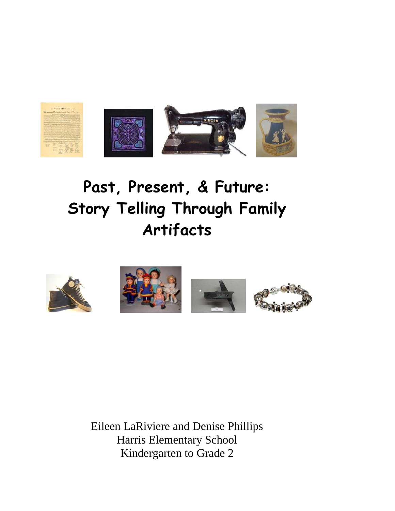

# **Past, Present, & Future: Story Telling Through Family Artifacts**



Eileen LaRiviere and Denise Phillips Harris Elementary School Kindergarten to Grade 2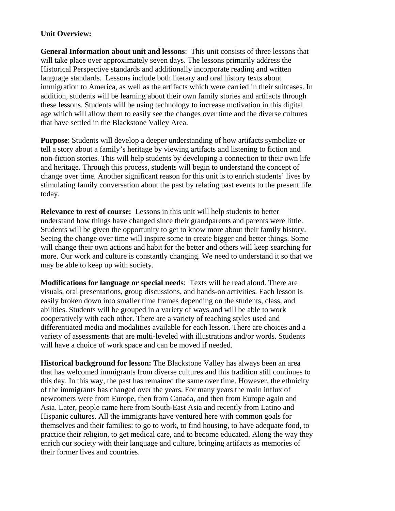### **Unit Overview:**

**General Information about unit and lessons**:This unit consists of three lessons that will take place over approximately seven days. The lessons primarily address the Historical Perspective standards and additionally incorporate reading and written language standards. Lessons include both literary and oral history texts about immigration to America, as well as the artifacts which were carried in their suitcases. In addition, students will be learning about their own family stories and artifacts through these lessons. Students will be using technology to increase motivation in this digital age which will allow them to easily see the changes over time and the diverse cultures that have settled in the Blackstone Valley Area.

**Purpose**: Students will develop a deeper understanding of how artifacts symbolize or tell a story about a family's heritage by viewing artifacts and listening to fiction and non-fiction stories. This will help students by developing a connection to their own life and heritage. Through this process, students will begin to understand the concept of change over time. Another significant reason for this unit is to enrich students' lives by stimulating family conversation about the past by relating past events to the present life today.

**Relevance to rest of course:** Lessons in this unit will help students to better understand how things have changed since their grandparents and parents were little. Students will be given the opportunity to get to know more about their family history. Seeing the change over time will inspire some to create bigger and better things. Some will change their own actions and habit for the better and others will keep searching for more. Our work and culture is constantly changing. We need to understand it so that we may be able to keep up with society.

**Modifications for language or special needs**: Texts will be read aloud. There are visuals, oral presentations, group discussions, and hands-on activities. Each lesson is easily broken down into smaller time frames depending on the students, class, and abilities. Students will be grouped in a variety of ways and will be able to work cooperatively with each other. There are a variety of teaching styles used and differentiated media and modalities available for each lesson. There are choices and a variety of assessments that are multi-leveled with illustrations and/or words. Students will have a choice of work space and can be moved if needed.

**Historical background for lesson:** The Blackstone Valley has always been an area that has welcomed immigrants from diverse cultures and this tradition still continues to this day. In this way, the past has remained the same over time. However, the ethnicity of the immigrants has changed over the years. For many years the main influx of newcomers were from Europe, then from Canada, and then from Europe again and Asia. Later, people came here from South-East Asia and recently from Latino and Hispanic cultures. All the immigrants have ventured here with common goals for themselves and their families: to go to work, to find housing, to have adequate food, to practice their religion, to get medical care, and to become educated. Along the way they enrich our society with their language and culture, bringing artifacts as memories of their former lives and countries.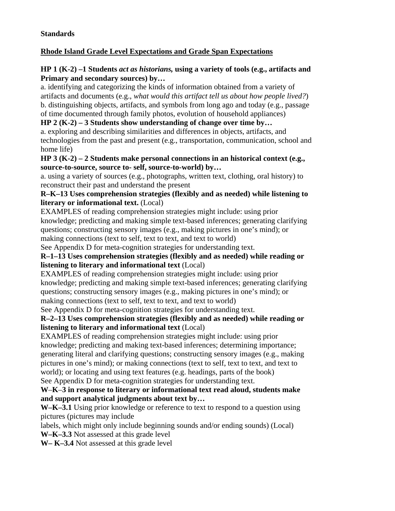#### **Standards**

### **Rhode Island Grade Level Expectations and Grade Span Expectations**

#### **HP 1 (K-2) –1 Students** *act as historians,* **using a variety of tools (e.g., artifacts and Primary and secondary sources) by…**

a. identifying and categorizing the kinds of information obtained from a variety of artifacts and documents (e.g., *what would this artifact tell us about how people lived?*) b. distinguishing objects, artifacts, and symbols from long ago and today (e.g., passage of time documented through family photos, evolution of household appliances)

### **HP 2 (K-2) – 3 Students show understanding of change over time by…**

a. exploring and describing similarities and differences in objects, artifacts, and technologies from the past and present (e.g., transportation, communication, school and home life)

#### **HP 3 (K-2) – 2 Students make personal connections in an historical context (e.g., source-to-source, source to- self, source-to-world) by…**

a. using a variety of sources (e.g., photographs, written text, clothing, oral history) to reconstruct their past and understand the present

### **R–K–13 Uses comprehension strategies (flexibly and as needed) while listening to literary or informational text.** (Local)

EXAMPLES of reading comprehension strategies might include: using prior knowledge; predicting and making simple text-based inferences; generating clarifying questions; constructing sensory images (e.g., making pictures in one's mind); or making connections (text to self, text to text, and text to world)

See Appendix D for meta-cognition strategies for understanding text.

### **R–1–13 Uses comprehension strategies (flexibly and as needed) while reading or listening to literary and informational text** (Local)

EXAMPLES of reading comprehension strategies might include: using prior knowledge; predicting and making simple text-based inferences; generating clarifying questions; constructing sensory images (e.g., making pictures in one's mind); or making connections (text to self, text to text, and text to world)

See Appendix D for meta-cognition strategies for understanding text.

# **R–2–13 Uses comprehension strategies (flexibly and as needed) while reading or listening to literary and informational text** (Local)

EXAMPLES of reading comprehension strategies might include: using prior knowledge; predicting and making text-based inferences; determining importance; generating literal and clarifying questions; constructing sensory images (e.g., making pictures in one's mind); or making connections (text to self, text to text, and text to world); or locating and using text features (e.g. headings, parts of the book) See Appendix D for meta-cognition strategies for understanding text.

### **W**–**K**–**3 in response to literary or informational text read aloud, students make and support analytical judgments about text by…**

**W–K–3.1** Using prior knowledge or reference to text to respond to a question using pictures (pictures may include

labels, which might only include beginning sounds and/or ending sounds) (Local)

**W–K–3.3** Not assessed at this grade level

**W– K–3.4** Not assessed at this grade level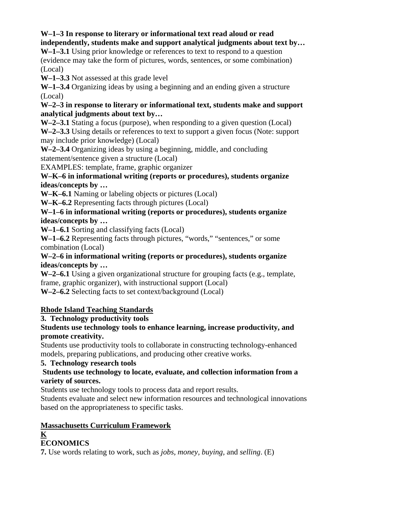# **W–1–3 In response to literary or informational text read aloud or read independently, students make and support analytical judgments about text by…**

**W–1–3.1** Using prior knowledge or references to text to respond to a question (evidence may take the form of pictures, words, sentences, or some combination) (Local)

**W–1–3.3** Not assessed at this grade level

**W–1–3.4** Organizing ideas by using a beginning and an ending given a structure (Local)

**W–2–3 in response to literary or informational text, students make and support analytical judgments about text by…**

**W–2–3.1** Stating a focus (purpose), when responding to a given question (Local)

**W–2–3.3** Using details or references to text to support a given focus (Note: support may include prior knowledge) (Local)

**W–2–3.4** Organizing ideas by using a beginning, middle, and concluding statement/sentence given a structure (Local)

EXAMPLES: template, frame, graphic organizer

# **W–K–6 in informational writing (reports or procedures), students organize ideas/concepts by …**

**W–K–6.1** Naming or labeling objects or pictures (Local)

**W–K–6.2** Representing facts through pictures (Local)

# **W–1–6 in informational writing (reports or procedures), students organize ideas/concepts by …**

**W–1–6.1** Sorting and classifying facts (Local)

**W–1–6.2** Representing facts through pictures, "words," "sentences," or some combination (Local)

# **W–2–6 in informational writing (reports or procedures), students organize ideas/concepts by …**

**W–2–6.1** Using a given organizational structure for grouping facts (e.g., template, frame, graphic organizer), with instructional support (Local) **W–2–6.2** Selecting facts to set context/background (Local)

# **Rhode Island Teaching Standards**

# **3. Technology productivity tools**

# **Students use technology tools to enhance learning, increase productivity, and promote creativity.**

Students use productivity tools to collaborate in constructing technology-enhanced models, preparing publications, and producing other creative works.

# **5. Technology research tools**

# **Students use technology to locate, evaluate, and collection information from a variety of sources.**

Students use technology tools to process data and report results.

Students evaluate and select new information resources and technological innovations based on the appropriateness to specific tasks.

# **Massachusetts Curriculum Framework**

#### **K ECONOMICS**

**7.** Use words relating to work, such as *jobs, money, buying,* and *selling*. (E)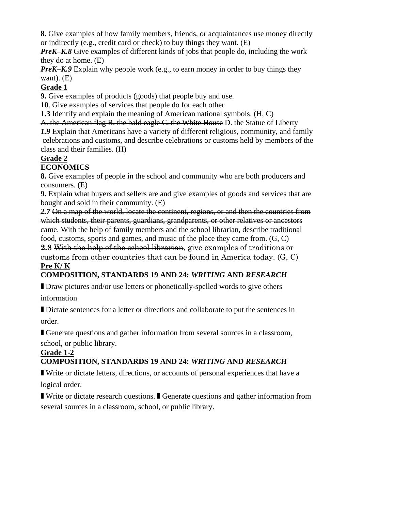**8.** Give examples of how family members, friends, or acquaintances use money directly or indirectly (e.g., credit card or check) to buy things they want. (E)

*PreK–K.8* Give examples of different kinds of jobs that people do, including the work they do at home. (E)

*PreK–K.9* Explain why people work (e.g., to earn money in order to buy things they want). (E)

# **Grade 1**

**9.** Give examples of products (goods) that people buy and use.

**10**. Give examples of services that people do for each other

**1.3** Identify and explain the meaning of American national symbols. (H, C)

A. the American flag B. the bald eagle C. the White House D. the Statue of Liberty *1.9* Explain that Americans have a variety of different religious, community, and family celebrations and customs, and describe celebrations or customs held by members of the class and their families. (H)

# **Grade 2**

# **ECONOMICS**

**8.** Give examples of people in the school and community who are both producers and consumers. (E)

**9.** Explain what buyers and sellers are and give examples of goods and services that are bought and sold in their community. (E)

*2.7* On a map of the world, locate the continent, regions, or and then the countries from which students, their parents, guardians, grandparents, or other relatives or ancestors came. With the help of family members and the school librarian, describe traditional food, customs, sports and games, and music of the place they came from. (G, C)

**2.8** With the help of the school librarian, give examples of traditions or customs from other countries that can be found in America today. (G, C) **Pre K/ K** 

# **COMPOSITION, STANDARDS 19 AND 24:** *WRITING* **AND** *RESEARCH*

■ Draw pictures and/or use letters or phonetically-spelled words to give others

information

❚ Dictate sentences for a letter or directions and collaborate to put the sentences in order.

❚ Generate questions and gather information from several sources in a classroom, school, or public library.

# **Grade 1-2**

# **COMPOSITION, STANDARDS 19 AND 24:** *WRITING* **AND** *RESEARCH*

❚ Write or dictate letters, directions, or accounts of personal experiences that have a logical order.

■ Write or dictate research questions. ■ Generate questions and gather information from several sources in a classroom, school, or public library.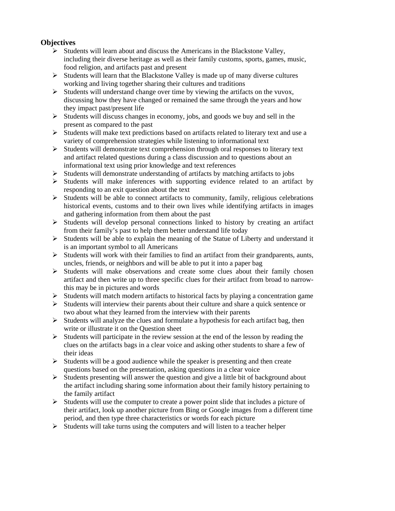### **Objectives**

- $\triangleright$  Students will learn about and discuss the Americans in the Blackstone Valley, including their diverse heritage as well as their family customs, sports, games, music, food religion, and artifacts past and present
- $\triangleright$  Students will learn that the Blackstone Valley is made up of many diverse cultures working and living together sharing their cultures and traditions
- $\triangleright$  Students will understand change over time by viewing the artifacts on the vuvox, discussing how they have changed or remained the same through the years and how they impact past/present life
- $\triangleright$  Students will discuss changes in economy, jobs, and goods we buy and sell in the present as compared to the past
- $\triangleright$  Students will make text predictions based on artifacts related to literary text and use a variety of comprehension strategies while listening to informational text
- $\triangleright$  Students will demonstrate text comprehension through oral responses to literary text and artifact related questions during a class discussion and to questions about an informational text using prior knowledge and text references
- $\triangleright$  Students will demonstrate understanding of artifacts by matching artifacts to jobs
- $\triangleright$  Students will make inferences with supporting evidence related to an artifact by responding to an exit question about the text
- $\triangleright$  Students will be able to connect artifacts to community, family, religious celebrations historical events, customs and to their own lives while identifying artifacts in images and gathering information from them about the past
- $\triangleright$  Students will develop personal connections linked to history by creating an artifact from their family's past to help them better understand life today
- $\triangleright$  Students will be able to explain the meaning of the Statue of Liberty and understand it is an important symbol to all Americans
- $\triangleright$  Students will work with their families to find an artifact from their grandparents, aunts, uncles, friends, or neighbors and will be able to put it into a paper bag
- $\triangleright$  Students will make observations and create some clues about their family chosen artifact and then write up to three specific clues for their artifact from broad to narrowthis may be in pictures and words
- $\triangleright$  Students will match modern artifacts to historical facts by playing a concentration game
- $\triangleright$  Students will interview their parents about their culture and share a quick sentence or two about what they learned from the interview with their parents
- $\triangleright$  Students will analyze the clues and formulate a hypothesis for each artifact bag, then write or illustrate it on the Question sheet
- $\triangleright$  Students will participate in the review session at the end of the lesson by reading the clues on the artifacts bags in a clear voice and asking other students to share a few of their ideas
- $\triangleright$  Students will be a good audience while the speaker is presenting and then create questions based on the presentation, asking questions in a clear voice
- $\triangleright$  Students presenting will answer the question and give a little bit of background about the artifact including sharing some information about their family history pertaining to the family artifact
- $\triangleright$  Students will use the computer to create a power point slide that includes a picture of their artifact, look up another picture from Bing or Google images from a different time period, and then type three characteristics or words for each picture
- $\triangleright$  Students will take turns using the computers and will listen to a teacher helper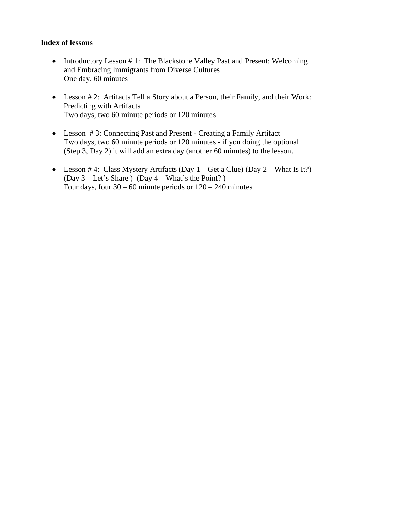#### **Index of lessons**

- Introductory Lesson # 1: The Blackstone Valley Past and Present: Welcoming and Embracing Immigrants from Diverse Cultures One day, 60 minutes
- Lesson # 2: Artifacts Tell a Story about a Person, their Family, and their Work: Predicting with Artifacts Two days, two 60 minute periods or 120 minutes
- Lesson #3: Connecting Past and Present Creating a Family Artifact Two days, two 60 minute periods or 120 minutes - if you doing the optional (Step 3, Day 2) it will add an extra day (another 60 minutes) to the lesson.
- Lesson # 4: Class Mystery Artifacts (Day  $1 \text{Get a Clue}$ ) (Day  $2 \text{What Is It?}$ ) (Day 3 – Let's Share ) (Day 4 – What's the Point? ) Four days, four  $30 - 60$  minute periods or  $120 - 240$  minutes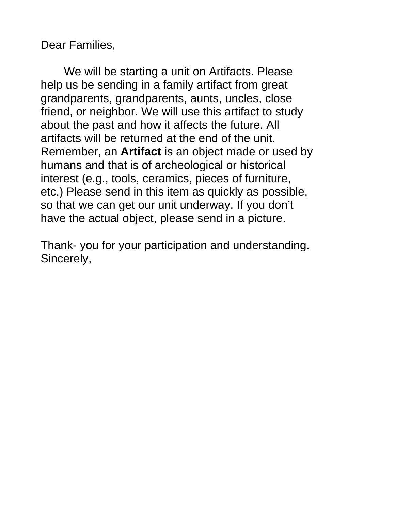Dear Families,

 We will be starting a unit on Artifacts. Please help us be sending in a family artifact from great grandparents, grandparents, aunts, uncles, close friend, or neighbor. We will use this artifact to study about the past and how it affects the future. All artifacts will be returned at the end of the unit. Remember, an **Artifact** is an object made or used by humans and that is of archeological or historical interest (e.g., tools, ceramics, pieces of furniture, etc.) Please send in this item as quickly as possible, so that we can get our unit underway. If you don't have the actual object, please send in a picture.

Thank- you for your participation and understanding. Sincerely,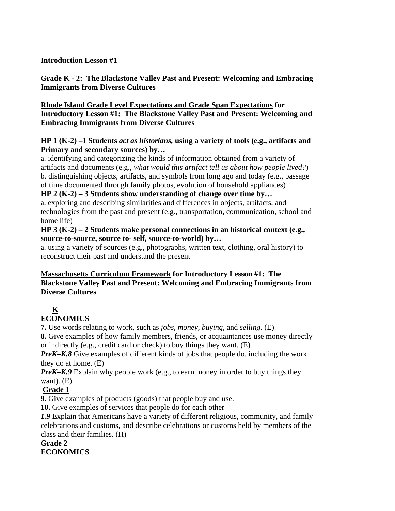# **Introduction Lesson #1**

# **Grade K - 2: The Blackstone Valley Past and Present: Welcoming and Embracing Immigrants from Diverse Cultures**

**Rhode Island Grade Level Expectations and Grade Span Expectations for Introductory Lesson #1: The Blackstone Valley Past and Present: Welcoming and Embracing Immigrants from Diverse Cultures** 

### **HP 1 (K-2) –1 Students** *act as historians,* **using a variety of tools (e.g., artifacts and Primary and secondary sources) by…**

a. identifying and categorizing the kinds of information obtained from a variety of artifacts and documents (e.g., *what would this artifact tell us about how people lived?*) b. distinguishing objects, artifacts, and symbols from long ago and today (e.g., passage of time documented through family photos, evolution of household appliances)

# **HP 2 (K-2) – 3 Students show understanding of change over time by…**

a. exploring and describing similarities and differences in objects, artifacts, and technologies from the past and present (e.g., transportation, communication, school and home life)

#### **HP 3 (K-2) – 2 Students make personal connections in an historical context (e.g., source-to-source, source to- self, source-to-world) by…**

a. using a variety of sources (e.g., photographs, written text, clothing, oral history) to reconstruct their past and understand the present

### **Massachusetts Curriculum Framework for Introductory Lesson #1: The Blackstone Valley Past and Present: Welcoming and Embracing Immigrants from Diverse Cultures**

# **K**

# **ECONOMICS**

**7.** Use words relating to work, such as *jobs, money, buying,* and *selling*. (E)

**8.** Give examples of how family members, friends, or acquaintances use money directly or indirectly (e.g., credit card or check) to buy things they want. (E)

*PreK–K.8* Give examples of different kinds of jobs that people do, including the work they do at home. (E)

*PreK–K.9* Explain why people work (e.g., to earn money in order to buy things they want). (E)

# **Grade 1**

**9.** Give examples of products (goods) that people buy and use.

**10.** Give examples of services that people do for each other

*1.9* Explain that Americans have a variety of different religious, community, and family celebrations and customs, and describe celebrations or customs held by members of the class and their families. (H)

# **Grade 2**

**ECONOMICS**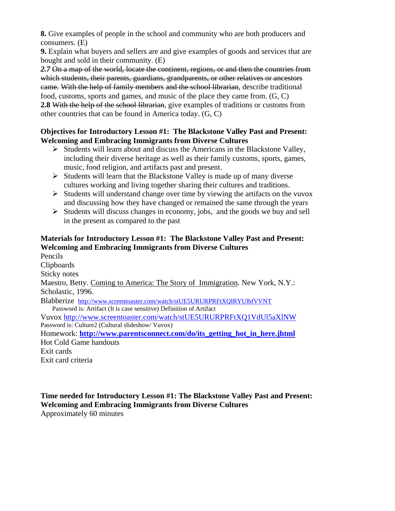**8.** Give examples of people in the school and community who are both producers and consumers. (E)

**9.** Explain what buyers and sellers are and give examples of goods and services that are bought and sold in their community. (E)

*2.7* On a map of the world, locate the continent, regions, or and then the countries from which students, their parents, guardians, grandparents, or other relatives or ancestors came. With the help of family members and the school librarian, describe traditional food, customs, sports and games, and music of the place they came from. (G, C) **2.8 With the help of the school librarian, give examples of traditions or customs from** other countries that can be found in America today. (G, C)

# **Objectives for Introductory Lesson #1: The Blackstone Valley Past and Present: Welcoming and Embracing Immigrants from Diverse Cultures**

- $\triangleright$  Students will learn about and discuss the Americans in the Blackstone Valley, including their diverse heritage as well as their family customs, sports, games, music, food religion, and artifacts past and present.
- $\triangleright$  Students will learn that the Blackstone Valley is made up of many diverse cultures working and living together sharing their cultures and traditions.
- $\triangleright$  Students will understand change over time by viewing the artifacts on the vuvox and discussing how they have changed or remained the same through the years
- $\triangleright$  Students will discuss changes in economy, jobs, and the goods we buy and sell in the present as compared to the past

# **Materials for Introductory Lesson #1: The Blackstone Valley Past and Present: Welcoming and Embracing Immigrants from Diverse Cultures**

Pencils Clipboards Sticky notes Maestro, Betty. Coming to America: The Story of Immigration. New York, N.Y.: Scholastic, 1996. Blabberize http://www.screentoaster.com/watch/stUE5URURPRFtXQlRYUlhfVVNT Password is: Artifact (It is case sensitive) Definition of Artifact Vuvox http://www.screentoaster.com/watch/stUE5URURPRFtXQ1VdUl5aXlNW<br>Password is: Culture2 (Cultural slideshow/ Vuvox) Homework: **http://www.parentsconnect.com/do/its\_getting\_hot\_in\_here.jhtml** Hot Cold Game handouts Exit cards Exit card criteria

# **Time needed for Introductory Lesson #1: The Blackstone Valley Past and Present: Welcoming and Embracing Immigrants from Diverse Cultures**

Approximately 60 minutes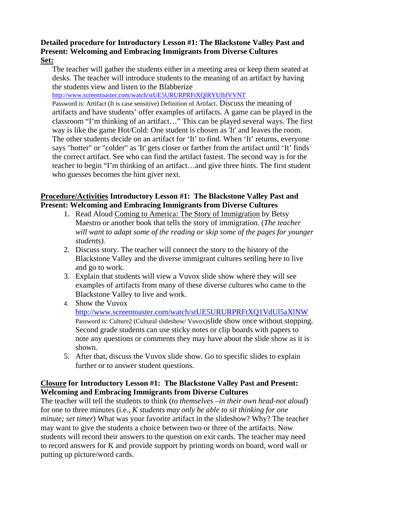#### **Detailed procedure for Introductory Lesson #1: The Blackstone Valley Past and Present: Welcoming and Embracing Immigrants from Diverse Cultures Set:**

The teacher will gather the students either in a meeting area or keep them seated at desks. The teacher will introduce students to the meaning of an artifact by having the students view and listen to the Blabberize

http://www.screentoaster.com/watch/stUE5URURPRFtXQlRYUlhfVVNT

Password is: Artifact (It is case sensitive) Definition of Artifact. Discuss the meaning of artifacts and have students' offer examples of artifacts. A game can be played in the classroom "I'm thinking of an artifact…" This can be played several ways. The first way is like the game Hot/Cold: One student is chosen as 'It' and leaves the room. The other students decide on an artifact for 'It' to find. When 'It' returns, everyone says "hotter" or "colder" as 'It' gets closer or farther from the artifact until 'It' finds the correct artifact. See who can find the artifact fastest. The second way is for the teacher to begin "I'm thinking of an artifact…and give three hints. The first student who guesses becomes the hint giver next.

#### **Procedure/Activities Introductory Lesson #1: The Blackstone Valley Past and Present: Welcoming and Embracing Immigrants from Diverse Cultures**

- 1. Read Aloud Coming to America: The Story of Immigration by Betsy Maestro or another book that tells the story of immigration. (*The teacher will want to adapt some of the reading or skip some of the pages for younger students).*
- 2. Discuss story. The teacher will connect the story to the history of the Blackstone Valley and the diverse immigrant cultures settling here to live and go to work.
- 3. Explain that students will view a Vuvox slide show where they will see examples of artifacts from many of these diverse cultures who came to the Blackstone Valley to live and work.
- 4. Show the Vuvox http://www.screentoaster.com/watch/stUE5URURPRFtXQ1VdUl5aXlNW Password is: Culture2 (Cultural slideshow/ Vuvox)slide show once without stopping. Second grade students can use sticky notes or clip boards with papers to note any questions or comments they may have about the slide show as it is shown.
- 5. After that, discuss the Vuvox slide show. Go to specific slides to explain further or to answer student questions.

#### **Closure for Introductory Lesson #1: The Blackstone Valley Past and Present: Welcoming and Embracing Immigrants from Diverse Cultures**

The teacher will tell the students to think (*to themselves –in their own head-not aloud*) for one to three minutes (i.e., *K students may only be able to sit thinking for one minute; set timer*) What was your favorite artifact in the slideshow? Why? The teacher may want to give the students a choice between two or three of the artifacts. Now students will record their answers to the question on exit cards. The teacher may need to record answers for K and provide support by printing words on board, word wall or putting up picture/word cards.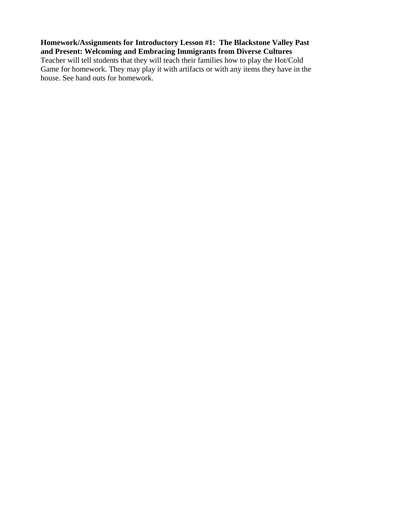### **Homework/Assignments for Introductory Lesson #1: The Blackstone Valley Past and Present: Welcoming and Embracing Immigrants from Diverse Cultures**

Teacher will tell students that they will teach their families how to play the Hot/Cold Game for homework. They may play it with artifacts or with any items they have in the house. See hand outs for homework.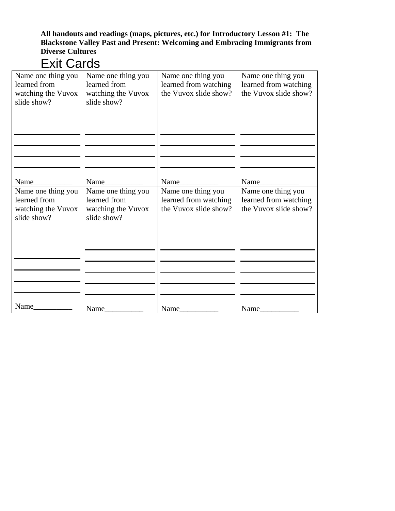# **All handouts and readings (maps, pictures, etc.) for Introductory Lesson #1: The Blackstone Valley Past and Present: Welcoming and Embracing Immigrants from Diverse Cultures**

# Exit Cards

| Name one thing you<br>learned from<br>watching the Vuvox<br>slide show? | Name one thing you<br>learned from<br>watching the Vuvox<br>slide show? | Name one thing you<br>learned from watching<br>the Vuvox slide show? | Name one thing you<br>learned from watching<br>the Vuvox slide show? |
|-------------------------------------------------------------------------|-------------------------------------------------------------------------|----------------------------------------------------------------------|----------------------------------------------------------------------|
| Name                                                                    | Name_                                                                   | Name                                                                 | Name_                                                                |
| Name one thing you<br>learned from<br>watching the Vuvox<br>slide show? | Name one thing you<br>learned from<br>watching the Vuvox<br>slide show? | Name one thing you<br>learned from watching<br>the Vuvox slide show? | Name one thing you<br>learned from watching<br>the Vuvox slide show? |
| Name                                                                    | Name                                                                    | Name                                                                 | Name                                                                 |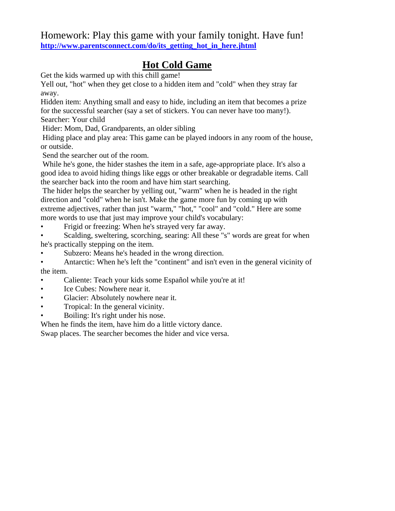Homework: Play this game with your family tonight. Have fun! **http://www.parentsconnect.com/do/its\_getting\_hot\_in\_here.jhtml** 

# **Hot Cold Game**

Get the kids warmed up with this chill game!

Yell out, "hot" when they get close to a hidden item and "cold" when they stray far away.

Hidden item: Anything small and easy to hide, including an item that becomes a prize for the successful searcher (say a set of stickers. You can never have too many!).

Searcher: Your child

Hider: Mom, Dad, Grandparents, an older sibling

 Hiding place and play area: This game can be played indoors in any room of the house, or outside.

Send the searcher out of the room.

 While he's gone, the hider stashes the item in a safe, age-appropriate place. It's also a good idea to avoid hiding things like eggs or other breakable or degradable items. Call the searcher back into the room and have him start searching.

 The hider helps the searcher by yelling out, "warm" when he is headed in the right direction and "cold" when he isn't. Make the game more fun by coming up with extreme adjectives, rather than just "warm," "hot," "cool" and "cold." Here are some more words to use that just may improve your child's vocabulary:

Frigid or freezing: When he's strayed very far away.

• Scalding, sweltering, scorching, searing: All these "s" words are great for when he's practically stepping on the item.

Subzero: Means he's headed in the wrong direction.

• Antarctic: When he's left the "continent" and isn't even in the general vicinity of the item.

- Caliente: Teach your kids some Español while you're at it!
- Ice Cubes: Nowhere near it.
- Glacier: Absolutely nowhere near it.
- Tropical: In the general vicinity.
- Boiling: It's right under his nose.

When he finds the item, have him do a little victory dance.

Swap places. The searcher becomes the hider and vice versa.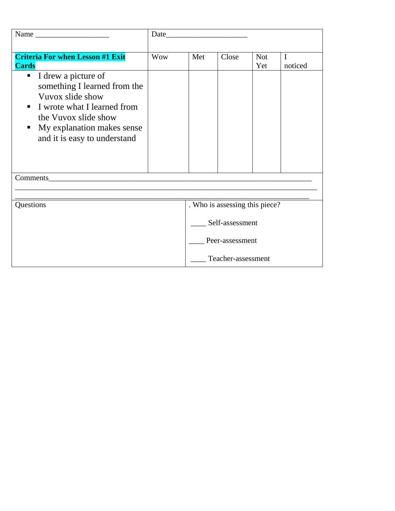|                                                                                                                                                                                                                          | Date_      |                                |       |                   |                        |
|--------------------------------------------------------------------------------------------------------------------------------------------------------------------------------------------------------------------------|------------|--------------------------------|-------|-------------------|------------------------|
|                                                                                                                                                                                                                          |            |                                |       |                   |                        |
| <b>Criteria For when Lesson #1 Exit</b><br><b>Cards</b>                                                                                                                                                                  | <b>Wow</b> | Met                            | Close | <b>Not</b><br>Yet | $\mathbf I$<br>noticed |
| I drew a picture of<br>$\blacksquare$<br>something I learned from the<br>Vuvox slide show<br>I wrote what I learned from<br>п<br>the Vuvox slide show<br>My explanation makes sense<br>п<br>and it is easy to understand |            |                                |       |                   |                        |
| Comments                                                                                                                                                                                                                 |            |                                |       |                   |                        |
|                                                                                                                                                                                                                          |            |                                |       |                   |                        |
| Questions                                                                                                                                                                                                                |            | . Who is assessing this piece? |       |                   |                        |
|                                                                                                                                                                                                                          |            | Self-assessment                |       |                   |                        |
|                                                                                                                                                                                                                          |            | Peer-assessment                |       |                   |                        |
|                                                                                                                                                                                                                          |            | Teacher-assessment             |       |                   |                        |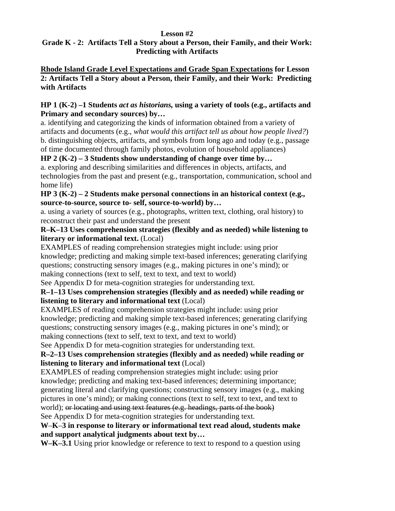### **Lesson #2**

# **Grade K - 2: Artifacts Tell a Story about a Person, their Family, and their Work: Predicting with Artifacts**

**Rhode Island Grade Level Expectations and Grade Span Expectations for Lesson 2: Artifacts Tell a Story about a Person, their Family, and their Work: Predicting with Artifacts** 

#### **HP 1 (K-2) –1 Students** *act as historians,* **using a variety of tools (e.g., artifacts and Primary and secondary sources) by…**

a. identifying and categorizing the kinds of information obtained from a variety of artifacts and documents (e.g., *what would this artifact tell us about how people lived?*) b. distinguishing objects, artifacts, and symbols from long ago and today (e.g., passage of time documented through family photos, evolution of household appliances)

# **HP 2 (K-2) – 3 Students show understanding of change over time by…**

a. exploring and describing similarities and differences in objects, artifacts, and technologies from the past and present (e.g., transportation, communication, school and home life)

### **HP 3 (K-2) – 2 Students make personal connections in an historical context (e.g., source-to-source, source to- self, source-to-world) by…**

a. using a variety of sources (e.g., photographs, written text, clothing, oral history) to reconstruct their past and understand the present

### **R–K–13 Uses comprehension strategies (flexibly and as needed) while listening to literary or informational text.** (Local)

EXAMPLES of reading comprehension strategies might include: using prior knowledge; predicting and making simple text-based inferences; generating clarifying questions; constructing sensory images (e.g., making pictures in one's mind); or making connections (text to self, text to text, and text to world)

See Appendix D for meta-cognition strategies for understanding text.

# **R–1–13 Uses comprehension strategies (flexibly and as needed) while reading or listening to literary and informational text** (Local)

EXAMPLES of reading comprehension strategies might include: using prior knowledge; predicting and making simple text-based inferences; generating clarifying questions; constructing sensory images (e.g., making pictures in one's mind); or making connections (text to self, text to text, and text to world)

See Appendix D for meta-cognition strategies for understanding text.

# **R–2–13 Uses comprehension strategies (flexibly and as needed) while reading or listening to literary and informational text** (Local)

EXAMPLES of reading comprehension strategies might include: using prior knowledge; predicting and making text-based inferences; determining importance; generating literal and clarifying questions; constructing sensory images (e.g., making pictures in one's mind); or making connections (text to self, text to text, and text to world); or locating and using text features (e.g. headings, parts of the book)

See Appendix D for meta-cognition strategies for understanding text.

# **W**–**K**–**3 in response to literary or informational text read aloud, students make and support analytical judgments about text by…**

**W–K–3.1** Using prior knowledge or reference to text to respond to a question using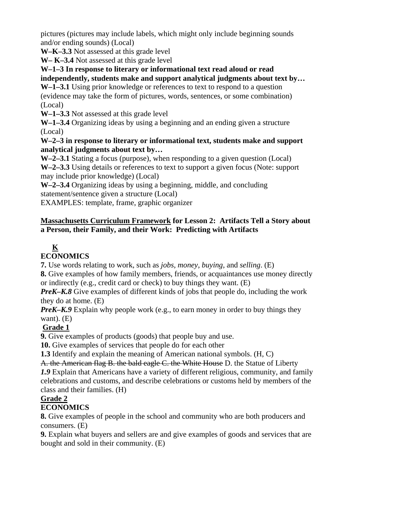pictures (pictures may include labels, which might only include beginning sounds and/or ending sounds) (Local)

**W–K–3.3** Not assessed at this grade level

**W– K–3.4** Not assessed at this grade level

**W–1–3 In response to literary or informational text read aloud or read independently, students make and support analytical judgments about text by… W–1–3.1** Using prior knowledge or references to text to respond to a question

(evidence may take the form of pictures, words, sentences, or some combination) (Local)

**W–1–3.3** Not assessed at this grade level

**W–1–3.4** Organizing ideas by using a beginning and an ending given a structure (Local)

**W–2–3 in response to literary or informational text, students make and support analytical judgments about text by…**

**W–2–3.1** Stating a focus (purpose), when responding to a given question (Local)

**W–2–3.3** Using details or references to text to support a given focus (Note: support may include prior knowledge) (Local)

**W–2–3.4** Organizing ideas by using a beginning, middle, and concluding statement/sentence given a structure (Local)

EXAMPLES: template, frame, graphic organizer

# **Massachusetts Curriculum Framework for Lesson 2: Artifacts Tell a Story about a Person, their Family, and their Work: Predicting with Artifacts**

# **K**

# **ECONOMICS**

**7.** Use words relating to work, such as *jobs, money, buying,* and *selling*. (E)

**8.** Give examples of how family members, friends, or acquaintances use money directly or indirectly (e.g., credit card or check) to buy things they want. (E)

*PreK–K.8* Give examples of different kinds of jobs that people do, including the work they do at home. (E)

*PreK–K.9* Explain why people work (e.g., to earn money in order to buy things they want). (E)

# **Grade 1**

**9.** Give examples of products (goods) that people buy and use.

**10.** Give examples of services that people do for each other

**1.3** Identify and explain the meaning of American national symbols. (H, C)

A. the American flag B. the bald eagle C. the White House D. the Statue of Liberty

*1.9* Explain that Americans have a variety of different religious, community, and family celebrations and customs, and describe celebrations or customs held by members of the class and their families. (H)

# **Grade 2**

# **ECONOMICS**

**8.** Give examples of people in the school and community who are both producers and consumers. (E)

**9.** Explain what buyers and sellers are and give examples of goods and services that are bought and sold in their community. (E)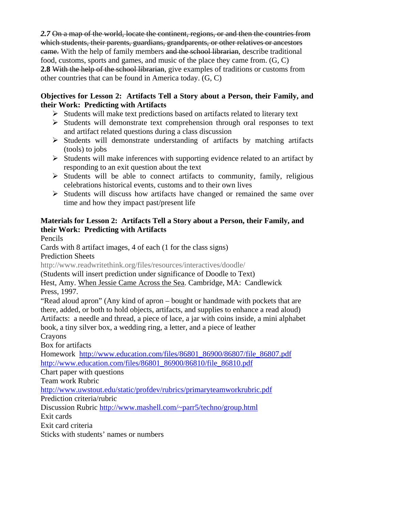*2.7* On a map of the world, locate the continent, regions, or and then the countries from which students, their parents, guardians, grandparents, or other relatives or ancestors came. With the help of family members and the school librarian, describe traditional food, customs, sports and games, and music of the place they came from. (G, C) **2.8** With the help of the school librarian, give examples of traditions or customs from other countries that can be found in America today. (G, C)

### **Objectives for Lesson 2: Artifacts Tell a Story about a Person, their Family, and their Work: Predicting with Artifacts**

- $\triangleright$  Students will make text predictions based on artifacts related to literary text
- $\triangleright$  Students will demonstrate text comprehension through oral responses to text and artifact related questions during a class discussion
- $\triangleright$  Students will demonstrate understanding of artifacts by matching artifacts (tools) to jobs
- $\triangleright$  Students will make inferences with supporting evidence related to an artifact by responding to an exit question about the text
- $\triangleright$  Students will be able to connect artifacts to community, family, religious celebrations historical events, customs and to their own lives
- $\triangleright$  Students will discuss how artifacts have changed or remained the same over time and how they impact past/present life

# **Materials for Lesson 2: Artifacts Tell a Story about a Person, their Family, and their Work: Predicting with Artifacts**

Pencils

Cards with 8 artifact images, 4 of each (1 for the class signs)

Prediction Sheets

http://www.readwritethink.org/files/resources/interactives/doodle/

(Students will insert prediction under significance of Doodle to Text)

Hest, Amy. When Jessie Came Across the Sea. Cambridge, MA: Candlewick Press, 1997.

"Read aloud apron" (Any kind of apron – bought or handmade with pockets that are there, added, or both to hold objects, artifacts, and supplies to enhance a read aloud) Artifacts: a needle and thread, a piece of lace, a jar with coins inside, a mini alphabet book, a tiny silver box, a wedding ring, a letter, and a piece of leather Crayons

Box for artifacts

Homework http://www.education.com/files/86801\_86900/86807/file\_86807.pdf http://www.education.com/files/86801\_86900/86810/file\_86810.pdf

Chart paper with questions

Team work Rubric

http://www.uwstout.edu/static/profdev/rubrics/primaryteamworkrubric.pdf

Prediction criteria/rubric

Discussion Rubric http://www.mashell.com/~parr5/techno/group.html

Exit cards

Exit card criteria

Sticks with students' names or numbers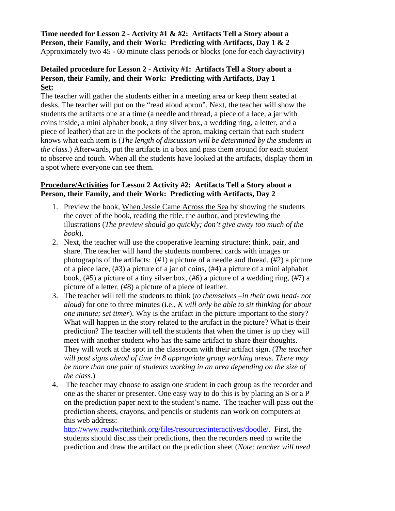#### **Time needed for Lesson 2 - Activity #1 & #2: Artifacts Tell a Story about a Person, their Family, and their Work: Predicting with Artifacts, Day 1 & 2**  Approximately two 45 - 60 minute class periods or blocks (one for each day/activity)

#### **Detailed procedure for Lesson 2 - Activity #1: Artifacts Tell a Story about a Person, their Family, and their Work: Predicting with Artifacts, Day 1 Set:**

The teacher will gather the students either in a meeting area or keep them seated at desks. The teacher will put on the "read aloud apron". Next, the teacher will show the students the artifacts one at a time (a needle and thread, a piece of a lace, a jar with coins inside, a mini alphabet book, a tiny silver box, a wedding ring, a letter, and a piece of leather) that are in the pockets of the apron, making certain that each student knows what each item is (*The length of discussion will be determined by the students in the class.*) Afterwards, put the artifacts in a box and pass them around for each student to observe and touch. When all the students have looked at the artifacts, display them in a spot where everyone can see them.

#### **Procedure/Activities for Lesson 2 Activity #2: Artifacts Tell a Story about a Person, their Family, and their Work: Predicting with Artifacts, Day 2**

- 1. Preview the book, When Jessie Came Across the Sea by showing the students the cover of the book, reading the title, the author, and previewing the illustrations (*The preview should go quickly; don't give away too much of the book*).
- 2. Next, the teacher will use the cooperative learning structure: think, pair, and share. The teacher will hand the students numbered cards with images or photographs of the artifacts:  $(\#1)$  a picture of a needle and thread,  $(\#2)$  a picture of a piece lace, (#3) a picture of a jar of coins, (#4) a picture of a mini alphabet book, (#5) a picture of a tiny silver box, (#6) a picture of a wedding ring, (#7) a picture of a letter, (#8) a picture of a piece of leather.
- 3. The teacher will tell the students to think (*to themselves –in their own head- not aloud*) for one to three minutes (i.e., *K will only be able to sit thinking for about one minute; set timer*). Why is the artifact in the picture important to the story? What will happen in the story related to the artifact in the picture? What is their prediction? The teacher will tell the students that when the timer is up they will meet with another student who has the same artifact to share their thoughts. They will work at the spot in the classroom with their artifact sign. (*The teacher will post signs ahead of time in 8 appropriate group working areas. There may be more than one pair of students working in an area depending on the size of the class.*)
- 4. The teacher may choose to assign one student in each group as the recorder and one as the sharer or presenter. One easy way to do this is by placing an S or a P on the prediction paper next to the student's name. The teacher will pass out the prediction sheets, crayons, and pencils or students can work on computers at this web address:

http://www.readwritethink.org/files/resources/interactives/doodle/. First, the students should discuss their predictions, then the recorders need to write the prediction and draw the artifact on the prediction sheet (*Note: teacher will need*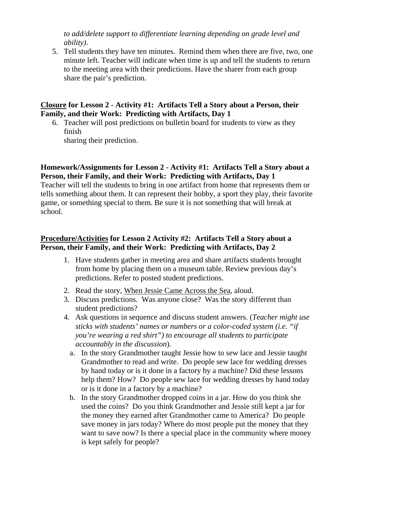*to add/delete support to differentiate learning depending on grade level and ability)*.

5. Tell students they have ten minutes. Remind them when there are five, two, one minute left. Teacher will indicate when time is up and tell the students to return to the meeting area with their predictions. Have the sharer from each group share the pair's prediction.

#### **Closure for Lesson 2 - Activity #1: Artifacts Tell a Story about a Person, their Family, and their Work: Predicting with Artifacts, Day 1**

6. Teacher will post predictions on bulletin board for students to view as they finish

sharing their prediction.

### **Homework/Assignments for Lesson 2 - Activity #1: Artifacts Tell a Story about a Person, their Family, and their Work: Predicting with Artifacts, Day 1**

Teacher will tell the students to bring in one artifact from home that represents them or tells something about them. It can represent their hobby, a sport they play, their favorite game, or something special to them. Be sure it is not something that will break at school.

# **Procedure/Activities for Lesson 2 Activity #2: Artifacts Tell a Story about a Person, their Family, and their Work: Predicting with Artifacts, Day 2**

- 1. Have students gather in meeting area and share artifacts students brought from home by placing them on a museum table. Review previous day's predictions. Refer to posted student predictions.
- 2. Read the story, When Jessie Came Across the Sea, aloud.
- 3. Discuss predictions. Was anyone close? Was the story different than student predictions?
- 4. Ask questions in sequence and discuss student answers. (*Teacher might use sticks with students' names or numbers or a color-coded system (i.e. "if you're wearing a red shirt") to encourage all students to participate accountably in the discussion*).
	- a. In the story Grandmother taught Jessie how to sew lace and Jessie taught Grandmother to read and write. Do people sew lace for wedding dresses by hand today or is it done in a factory by a machine? Did these lessons help them? How? Do people sew lace for wedding dresses by hand today or is it done in a factory by a machine?
	- b. In the story Grandmother dropped coins in a jar. How do you think she used the coins? Do you think Grandmother and Jessie still kept a jar for the money they earned after Grandmother came to America? Do people save money in jars today? Where do most people put the money that they want to save now? Is there a special place in the community where money is kept safely for people?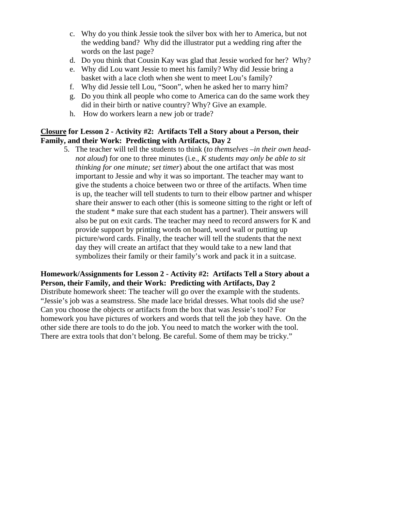- c. Why do you think Jessie took the silver box with her to America, but not the wedding band? Why did the illustrator put a wedding ring after the words on the last page?
- d. Do you think that Cousin Kay was glad that Jessie worked for her? Why?
- e. Why did Lou want Jessie to meet his family? Why did Jessie bring a basket with a lace cloth when she went to meet Lou's family?
- f. Why did Jessie tell Lou, "Soon", when he asked her to marry him?
- g. Do you think all people who come to America can do the same work they did in their birth or native country? Why? Give an example.
- h. How do workers learn a new job or trade?

### **Closure for Lesson 2 - Activity #2: Artifacts Tell a Story about a Person, their Family, and their Work: Predicting with Artifacts, Day 2**

5. The teacher will tell the students to think (*to themselves –in their own headnot aloud*) for one to three minutes (i.e., *K students may only be able to sit thinking for one minute; set timer*) about the one artifact that was most important to Jessie and why it was so important. The teacher may want to give the students a choice between two or three of the artifacts. When time is up, the teacher will tell students to turn to their elbow partner and whisper share their answer to each other (this is someone sitting to the right or left of the student \* make sure that each student has a partner). Their answers will also be put on exit cards. The teacher may need to record answers for K and provide support by printing words on board, word wall or putting up picture/word cards. Finally, the teacher will tell the students that the next day they will create an artifact that they would take to a new land that symbolizes their family or their family's work and pack it in a suitcase.

### **Homework/Assignments for Lesson 2 - Activity #2: Artifacts Tell a Story about a Person, their Family, and their Work: Predicting with Artifacts, Day 2**

Distribute homework sheet: The teacher will go over the example with the students. "Jessie's job was a seamstress. She made lace bridal dresses. What tools did she use? Can you choose the objects or artifacts from the box that was Jessie's tool? For homework you have pictures of workers and words that tell the job they have. On the other side there are tools to do the job. You need to match the worker with the tool. There are extra tools that don't belong. Be careful. Some of them may be tricky."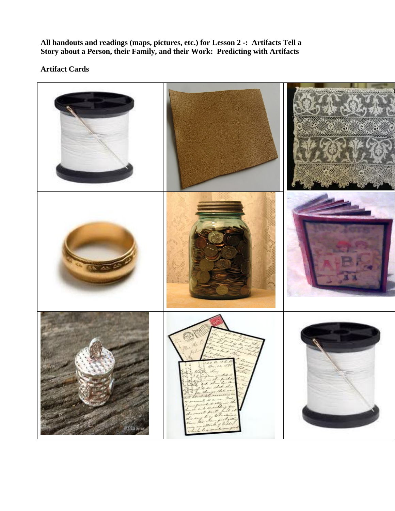**All handouts and readings (maps, pictures, etc.) for Lesson 2 -: Artifacts Tell a Story about a Person, their Family, and their Work: Predicting with Artifacts** 

**Artifact Cards** 

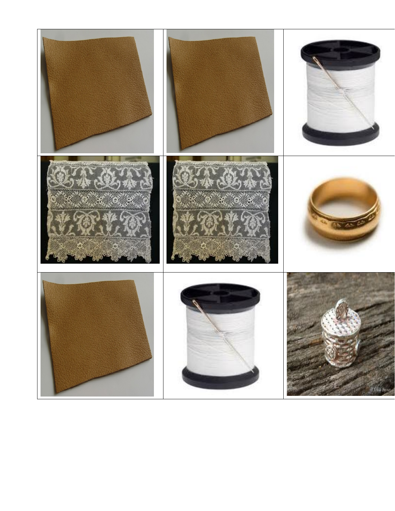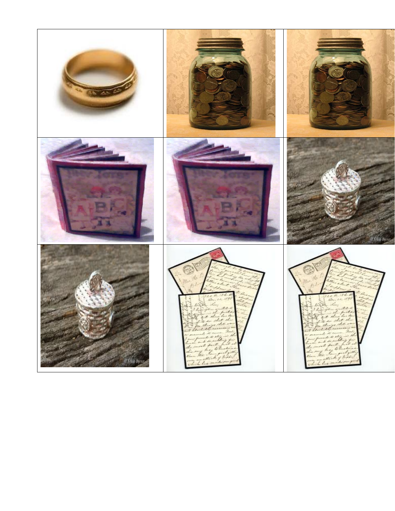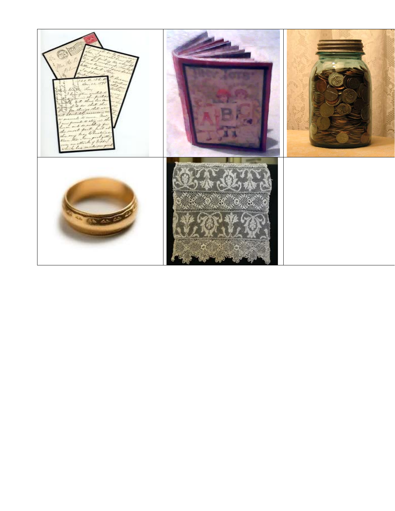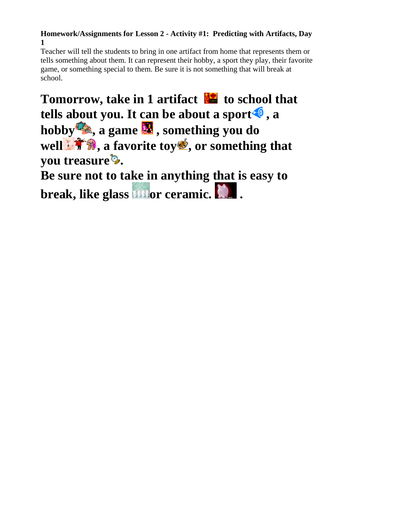# **Homework/Assignments for Lesson 2 - Activity #1: Predicting with Artifacts, Day 1**

Teacher will tell the students to bring in one artifact from home that represents them or tells something about them. It can represent their hobby, a sport they play, their favorite game, or something special to them. Be sure it is not something that will break at school.

**Tomorrow, take in 1 artifact <b>to** to school that tells about you. It can be about a sport  $\bullet$ , a hobby **<b>4**, a game **4**, something you do well  $\mathbf{w}^*$ , a favorite toy<sup>*,*</sup>, or something that **you treasure**. **Be sure not to take in anything that is easy to** 

break, like glass **or ceramic. Let** .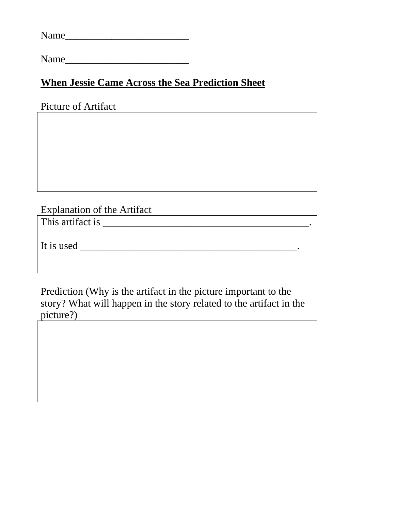Name\_\_\_\_\_\_\_\_\_\_\_\_\_\_\_\_\_\_\_\_\_\_\_\_

# **When Jessie Came Across the Sea Prediction Sheet**

| <b>Picture of Artifact</b>         |
|------------------------------------|
|                                    |
|                                    |
|                                    |
|                                    |
|                                    |
|                                    |
|                                    |
|                                    |
| <b>Explanation of the Artifact</b> |
| This artifact is                   |
|                                    |
| It is used                         |

Prediction (Why is the artifact in the picture important to the story? What will happen in the story related to the artifact in the picture?)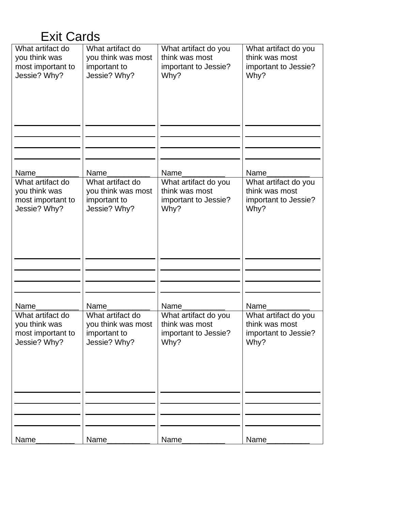# Exit Cards

| What artifact do<br>you think was<br>most important to<br>Jessie? Why?         | What artifact do<br>you think was most<br>important to<br>Jessie? Why?         | What artifact do you<br>think was most<br>important to Jessie?<br>Why?         | What artifact do you<br>think was most<br>important to Jessie?<br>Why?         |
|--------------------------------------------------------------------------------|--------------------------------------------------------------------------------|--------------------------------------------------------------------------------|--------------------------------------------------------------------------------|
| Name<br>What artifact do<br>you think was<br>most important to                 | Name<br>What artifact do<br>you think was most<br>important to<br>Jessie? Why? | Name<br>What artifact do you<br>think was most<br>important to Jessie?         | Name<br>What artifact do you<br>think was most<br>important to Jessie?         |
| Jessie? Why?                                                                   |                                                                                | Why?                                                                           | Why?                                                                           |
| Name<br>What artifact do<br>you think was<br>most important to<br>Jessie? Why? | Name<br>What artifact do<br>you think was most<br>important to<br>Jessie? Why? | Name<br>What artifact do you<br>think was most<br>important to Jessie?<br>Why? | Name<br>What artifact do you<br>think was most<br>important to Jessie?<br>Why? |
| Name_                                                                          | Name_                                                                          | Name_                                                                          | Name_                                                                          |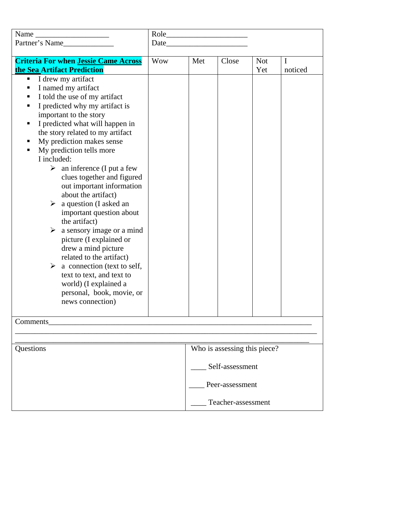| Name                                            |            |     |                              |            |             |
|-------------------------------------------------|------------|-----|------------------------------|------------|-------------|
| Partner's Name                                  | Date       |     |                              |            |             |
|                                                 |            |     |                              |            |             |
| <b>Criteria For when Jessie Came Across</b>     | <b>Wow</b> | Met | Close                        | <b>Not</b> | $\mathbf I$ |
| the Sea Artifact Prediction                     |            |     |                              | Yet        | noticed     |
| I drew my artifact                              |            |     |                              |            |             |
| I named my artifact<br>п                        |            |     |                              |            |             |
| I told the use of my artifact                   |            |     |                              |            |             |
| I predicted why my artifact is<br>ш             |            |     |                              |            |             |
| important to the story                          |            |     |                              |            |             |
| I predicted what will happen in<br>п            |            |     |                              |            |             |
| the story related to my artifact<br>٠           |            |     |                              |            |             |
| My prediction makes sense                       |            |     |                              |            |             |
| My prediction tells more<br>I included:         |            |     |                              |            |             |
| $\triangleright$ an inference (I put a few      |            |     |                              |            |             |
| clues together and figured                      |            |     |                              |            |             |
| out important information                       |            |     |                              |            |             |
| about the artifact)                             |            |     |                              |            |             |
| a question (I asked an<br>$\blacktriangleright$ |            |     |                              |            |             |
| important question about                        |            |     |                              |            |             |
| the artifact)                                   |            |     |                              |            |             |
| $\triangleright$ a sensory image or a mind      |            |     |                              |            |             |
| picture (I explained or                         |            |     |                              |            |             |
| drew a mind picture                             |            |     |                              |            |             |
| related to the artifact)                        |            |     |                              |            |             |
| $\triangleright$ a connection (text to self,    |            |     |                              |            |             |
| text to text, and text to                       |            |     |                              |            |             |
| world) (I explained a                           |            |     |                              |            |             |
| personal, book, movie, or                       |            |     |                              |            |             |
| news connection)                                |            |     |                              |            |             |
|                                                 |            |     |                              |            |             |
| Comments                                        |            |     |                              |            |             |
|                                                 |            |     |                              |            |             |
|                                                 |            |     |                              |            |             |
| Questions                                       |            |     | Who is assessing this piece? |            |             |
|                                                 |            |     | Self-assessment              |            |             |
|                                                 |            |     |                              |            |             |
|                                                 |            |     | Peer-assessment              |            |             |
|                                                 |            |     | Teacher-assessment           |            |             |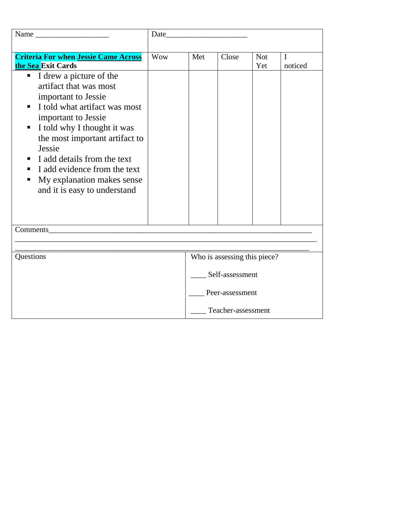|                                                                                                                                                                                                                              | Date       |     |                              |                   |              |
|------------------------------------------------------------------------------------------------------------------------------------------------------------------------------------------------------------------------------|------------|-----|------------------------------|-------------------|--------------|
|                                                                                                                                                                                                                              |            |     |                              |                   |              |
| <b>Criteria For when Jessie Came Across</b><br>the Sea Exit Cards<br>I drew a picture of the<br>П<br>artifact that was most<br>important to Jessie<br>I told what artifact was most<br>$\blacksquare$<br>important to Jessie | <b>Wow</b> | Met | Close                        | <b>Not</b><br>Yet | I<br>noticed |
| I told why I thought it was<br>п<br>the most important artifact to<br>Jessie<br>I add details from the text<br>п<br>I add evidence from the text<br>п<br>My explanation makes sense<br>and it is easy to understand          |            |     |                              |                   |              |
| Comments                                                                                                                                                                                                                     |            |     |                              |                   |              |
|                                                                                                                                                                                                                              |            |     |                              |                   |              |
| Questions                                                                                                                                                                                                                    |            |     | Who is assessing this piece? |                   |              |
|                                                                                                                                                                                                                              |            |     | Self-assessment              |                   |              |
|                                                                                                                                                                                                                              |            |     | Peer-assessment              |                   |              |
|                                                                                                                                                                                                                              |            |     | Teacher-assessment           |                   |              |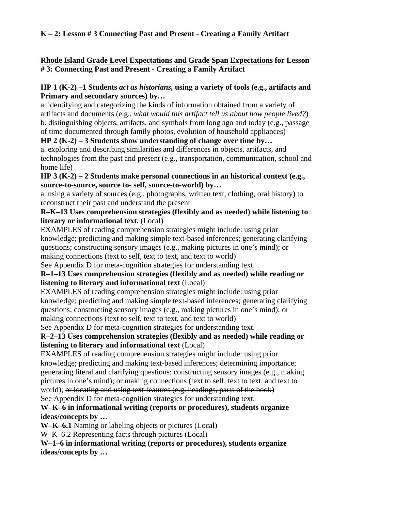### **Rhode Island Grade Level Expectations and Grade Span Expectations for Lesson # 3: Connecting Past and Present - Creating a Family Artifact**

### **HP 1 (K-2) –1 Students** *act as historians,* **using a variety of tools (e.g., artifacts and Primary and secondary sources) by…**

a. identifying and categorizing the kinds of information obtained from a variety of artifacts and documents (e.g., *what would this artifact tell us about how people lived?*) b. distinguishing objects, artifacts, and symbols from long ago and today (e.g., passage of time documented through family photos, evolution of household appliances)

# **HP 2 (K-2) – 3 Students show understanding of change over time by…**

a. exploring and describing similarities and differences in objects, artifacts, and technologies from the past and present (e.g., transportation, communication, school and home life)

### **HP 3 (K-2) – 2 Students make personal connections in an historical context (e.g., source-to-source, source to- self, source-to-world) by…**

a. using a variety of sources (e.g., photographs, written text, clothing, oral history) to reconstruct their past and understand the present

#### **R–K–13 Uses comprehension strategies (flexibly and as needed) while listening to literary or informational text.** (Local)

EXAMPLES of reading comprehension strategies might include: using prior knowledge; predicting and making simple text-based inferences; generating clarifying questions; constructing sensory images (e.g., making pictures in one's mind); or making connections (text to self, text to text, and text to world)

See Appendix D for meta-cognition strategies for understanding text.

### **R–1–13 Uses comprehension strategies (flexibly and as needed) while reading or listening to literary and informational text** (Local)

EXAMPLES of reading comprehension strategies might include: using prior knowledge; predicting and making simple text-based inferences; generating clarifying questions; constructing sensory images (e.g., making pictures in one's mind); or making connections (text to self, text to text, and text to world)

See Appendix D for meta-cognition strategies for understanding text.

# **R–2–13 Uses comprehension strategies (flexibly and as needed) while reading or listening to literary and informational text** (Local)

EXAMPLES of reading comprehension strategies might include: using prior knowledge; predicting and making text-based inferences; determining importance; generating literal and clarifying questions; constructing sensory images (e.g., making pictures in one's mind); or making connections (text to self, text to text, and text to world); or locating and using text features (e.g. headings, parts of the book) See Appendix D for meta-cognition strategies for understanding text.

# **W–K–6 in informational writing (reports or procedures), students organize ideas/concepts by …**

**W–K–6.1** Naming or labeling objects or pictures (Local)

W–K–6.2 Representing facts through pictures (Local)

**W–1–6 in informational writing (reports or procedures), students organize ideas/concepts by …**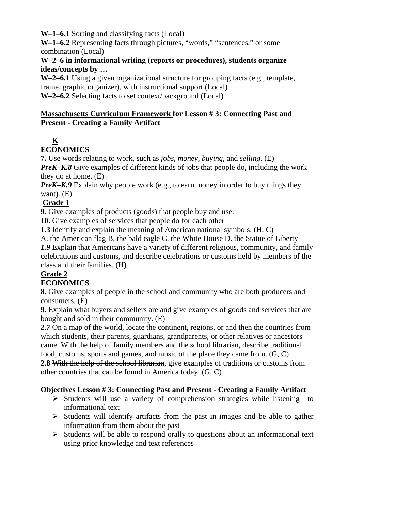**W–1–6.1** Sorting and classifying facts (Local)

**W–1–6.2** Representing facts through pictures, "words," "sentences," or some combination (Local)

**W–2–6 in informational writing (reports or procedures), students organize ideas/concepts by …** 

**W–2–6.1** Using a given organizational structure for grouping facts (e.g., template, frame, graphic organizer), with instructional support (Local) **W–2–6.2** Selecting facts to set context/background (Local)

# **Massachusetts Curriculum Framework for Lesson # 3: Connecting Past and Present - Creating a Family Artifact**

# **K**

# **ECONOMICS**

**7.** Use words relating to work, such as *jobs, money, buying,* and *selling*. (E)

*PreK–K.8* Give examples of different kinds of jobs that people do, including the work they do at home. (E)

*PreK–K.9* Explain why people work (e.g., to earn money in order to buy things they want). (E)

# **Grade 1**

**9.** Give examples of products (goods) that people buy and use.

**10.** Give examples of services that people do for each other

**1.3** Identify and explain the meaning of American national symbols. (H, C)

A. the American flag B. the bald eagle C. the White House D. the Statue of Liberty *1.9* Explain that Americans have a variety of different religious, community, and family celebrations and customs, and describe celebrations or customs held by members of the class and their families. (H)

# **Grade 2**

# **ECONOMICS**

**8.** Give examples of people in the school and community who are both producers and consumers. (E)

**9.** Explain what buyers and sellers are and give examples of goods and services that are bought and sold in their community. (E)

*2.7* On a map of the world, locate the continent, regions, or and then the countries from which students, their parents, guardians, grandparents, or other relatives or ancestors

came. With the help of family members and the school librarian, describe traditional food, customs, sports and games, and music of the place they came from. (G, C)

**2.8** With the help of the school librarian, give examples of traditions or customs from other countries that can be found in America today. (G, C)

# **Objectives Lesson # 3: Connecting Past and Present - Creating a Family Artifact**

- $\triangleright$  Students will use a variety of comprehension strategies while listening to informational text
- $\triangleright$  Students will identify artifacts from the past in images and be able to gather information from them about the past
- $\triangleright$  Students will be able to respond orally to questions about an informational text using prior knowledge and text references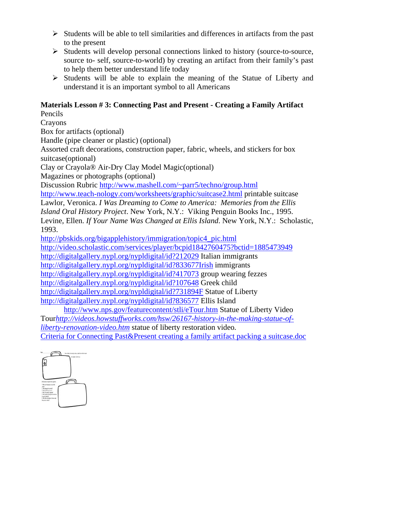- $\triangleright$  Students will be able to tell similarities and differences in artifacts from the past to the present
- $\triangleright$  Students will develop personal connections linked to history (source-to-source, source to- self, source-to-world) by creating an artifact from their family's past to help them better understand life today
- $\triangleright$  Students will be able to explain the meaning of the Statue of Liberty and understand it is an important symbol to all Americans

# **Materials Lesson # 3: Connecting Past and Present - Creating a Family Artifact**

Pencils

Crayons

Box for artifacts (optional)

Handle (pipe cleaner or plastic) (optional)

Assorted craft decorations, construction paper, fabric, wheels, and stickers for box suitcase(optional)

Clay or Crayola® Air-Dry Clay Model Magic(optional)

Magazines or photographs (optional)

Discussion Rubric http://www.mashell.com/~parr5/techno/group.html

http://www.teach-nology.com/worksheets/graphic/suitcase2.html printable suitcase

Lawlor, Veronica. *I Was Dreaming to Come to America: Memories from the Ellis* 

*Island Oral History Project*. New York, N.Y.: Viking Penguin Books Inc., 1995. Levine, Ellen. *If Your Name Was Changed at Ellis Island*. New York, N.Y.: Scholastic, 1993.

http://pbskids.org/bigapplehistory/immigration/topic4\_pic.html

http://video.scholastic.com/services/player/bcpid1842760475?bctid=1885473949

http://digitalgallery.nypl.org/nypldigital/id?212029 Italian immigrants

http://digitalgallery.nypl.org/nypldigital/id?833677Irish immigrants

http://digitalgallery.nypl.org/nypldigital/id?417073 group wearing fezzes

http://digitalgallery.nypl.org/nypldigital/id?107648 Greek child

http://digitalgallery.nypl.org/nypldigital/id?731894F Statue of Liberty

http://digitalgallery.nypl.org/nypldigital/id?836577 Ellis Island

http://www.nps.gov/featurecontent/stli/eTour.htm Statue of Liberty Video Tour*http://videos.howstuffworks.com/hsw/26167-history-in-the-making-statue-ofliberty-renovation-video.htm* statue of liberty restoration video*.*  Criteria for Connecting Past&Present creating a family artifact packing a suitcase.doc

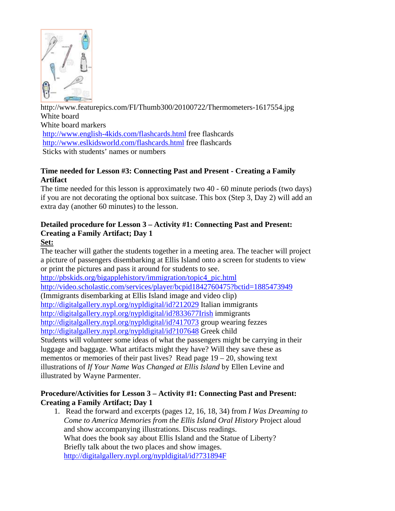

http://www.featurepics.com/FI/Thumb300/20100722/Thermometers-1617554.jpg White board White board markers http://www.english-4kids.com/flashcards.html free flashcards http://www.eslkidsworld.com/flashcards.html free flashcards Sticks with students' names or numbers

### **Time needed for Lesson #3: Connecting Past and Present - Creating a Family Artifact**

The time needed for this lesson is approximately two 40 - 60 minute periods (two days) if you are not decorating the optional box suitcase. This box (Step 3, Day 2) will add an extra day (another 60 minutes) to the lesson.

# **Detailed procedure for Lesson 3 – Activity #1: Connecting Past and Present: Creating a Family Artifact; Day 1**

**Set:**

The teacher will gather the students together in a meeting area. The teacher will project a picture of passengers disembarking at Ellis Island onto a screen for students to view or print the pictures and pass it around for students to see. http://pbskids.org/bigapplehistory/immigration/topic4\_pic.html http://video.scholastic.com/services/player/bcpid1842760475?bctid=1885473949 (Immigrants disembarking at Ellis Island image and video clip) http://digitalgallery.nypl.org/nypldigital/id?212029 Italian immigrants http://digitalgallery.nypl.org/nypldigital/id?833677Irish immigrants http://digitalgallery.nypl.org/nypldigital/id?417073 group wearing fezzes http://digitalgallery.nypl.org/nypldigital/id?107648 Greek child Students will volunteer some ideas of what the passengers might be carrying in their luggage and baggage. What artifacts might they have? Will they save these as mementos or memories of their past lives? Read page  $19 - 20$ , showing text illustrations of *If Your Name Was Changed at Ellis Island* by Ellen Levine and illustrated by Wayne Parmenter.

# **Procedure/Activities for Lesson 3 – Activity #1: Connecting Past and Present: Creating a Family Artifact; Day 1**

1. Read the forward and excerpts (pages 12, 16, 18, 34) from *I Was Dreaming to Come to America Memories from the Ellis Island Oral History* Project aloud and show accompanying illustrations. Discuss readings. What does the book say about Ellis Island and the Statue of Liberty? Briefly talk about the two places and show images. http://digitalgallery.nypl.org/nypldigital/id?731894F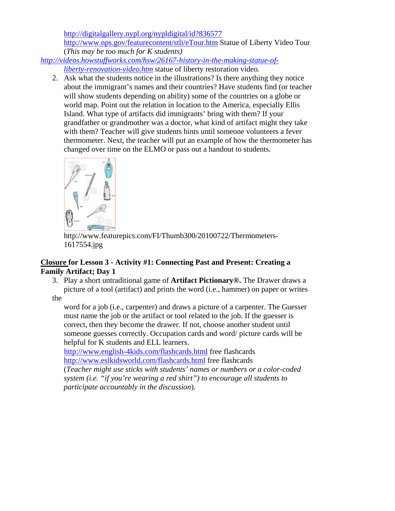http://digitalgallery.nypl.org/nypldigital/id?836577 http://www.nps.gov/featurecontent/stli/eTour.htm Statue of Liberty Video Tour (*This may be too much for K students)*

*http://videos.howstuffworks.com/hsw/26167-history-in-the-making-statue-ofliberty-renovation-video.htm* statue of liberty restoration video*.* 

2. Ask what the students notice in the illustrations? Is there anything they notice about the immigrant's names and their countries? Have students find (or teacher will show students depending on ability) some of the countries on a globe or world map. Point out the relation in location to the America, especially Ellis Island. What type of artifacts did immigrants' bring with them? If your grandfather or grandmother was a doctor, what kind of artifact might they take with them? Teacher will give students hints until someone volunteers a fever thermometer. Next, the teacher will put an example of how the thermometer has changed over time on the ELMO or pass out a handout to students.



http://www.featurepics.com/FI/Thumb300/20100722/Thermometers-1617554.jpg

# **Closure for Lesson 3 - Activity #1: Connecting Past and Present: Creating a Family Artifact; Day 1**

3. Play a short untraditional game of **Artifact Pictionary®.** The Drawer draws a picture of a tool (artifact) and prints the word (i.e., hammer) on paper or writes

the

word for a job (i.e., carpenter) and draws a picture of a carpenter. The Guesser must name the job or the artifact or tool related to the job. If the guesser is correct, then they become the drawer. If not, choose another student until someone guesses correctly. Occupation cards and word/ picture cards will be helpful for K students and ELL learners.

 http://www.english-4kids.com/flashcards.html free flashcards http://www.eslkidsworld.com/flashcards.html free flashcards (*Teacher might use sticks with students' names or numbers or a color-coded system (i.e. "if you're wearing a red shirt") to encourage all students to* 

 *participate accountably in the discussion*).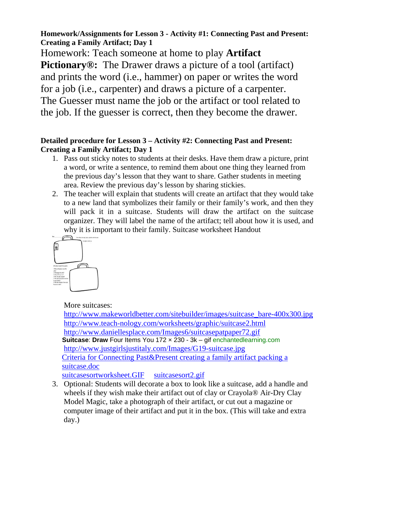# **Homework/Assignments for Lesson 3 - Activity #1: Connecting Past and Present: Creating a Family Artifact; Day 1**

Homework: Teach someone at home to play **Artifact Pictionary<sup>®</sup>:** The Drawer draws a picture of a tool (artifact) and prints the word (i.e., hammer) on paper or writes the word for a job (i.e., carpenter) and draws a picture of a carpenter. The Guesser must name the job or the artifact or tool related to the job. If the guesser is correct, then they become the drawer.

# **Detailed procedure for Lesson 3 – Activity #2: Connecting Past and Present: Creating a Family Artifact; Day 1**

- 1. Pass out sticky notes to students at their desks. Have them draw a picture, print a word, or write a sentence, to remind them about one thing they learned from the previous day's lesson that they want to share. Gather students in meeting area. Review the previous day's lesson by sharing stickies.
- 2. The teacher will explain that students will create an artifact that they would take to a new land that symbolizes their family or their family's work, and then they will pack it in a suitcase. Students will draw the artifact on the suitcase organizer. They will label the name of the artifact; tell about how it is used, and why it is important to their family. Suitcase worksheet Handout



More suitcases:

 http://www.makeworldbetter.com/sitebuilder/images/suitcase\_bare-400x300.jpg http://www.teach-nology.com/worksheets/graphic/suitcase2.html http://www.daniellesplace.com/Images6/suitcasepatpaper72.gif  **Suitcase**: **Draw** Four Items You 172 × 230 - 3k – gif enchantedlearning.com http://www.justgirlsjustitaly.com/Images/G19-suitcase.jpg Criteria for Connecting Past&Present creating a family artifact packing a suitcase.doc suitcasesortworksheet.GIF suitcasesort2.gif

3. Optional: Students will decorate a box to look like a suitcase, add a handle and wheels if they wish make their artifact out of clay or Crayola® Air-Dry Clay Model Magic, take a photograph of their artifact, or cut out a magazine or computer image of their artifact and put it in the box. (This will take and extra day.)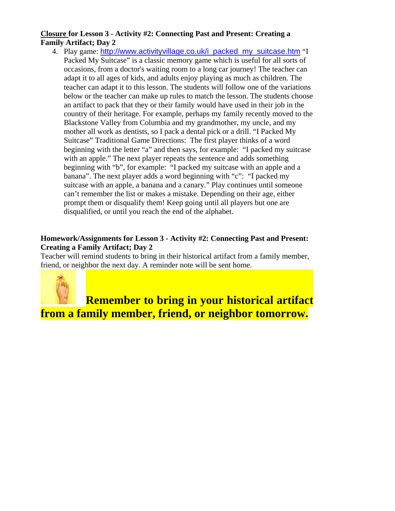### **Closure for Lesson 3 - Activity #2: Connecting Past and Present: Creating a Family Artifact; Day 2**

4. Play game: http://www.activityvillage.co.uk/i\_packed\_my\_suitcase.htm "I Packed My Suitcase" is a classic memory game which is useful for all sorts of occasions, from a doctor's waiting room to a long car journey! The teacher can adapt it to all ages of kids, and adults enjoy playing as much as children. The teacher can adapt it to this lesson. The students will follow one of the variations below or the teacher can make up rules to match the lesson. The students choose an artifact to pack that they or their family would have used in their job in the country of their heritage. For example, perhaps my family recently moved to the Blackstone Valley from Columbia and my grandmother, my uncle, and my mother all work as dentists, so I pack a dental pick or a drill. "I Packed My Suitcase" Traditional Game Directions: The first player thinks of a word beginning with the letter "a" and then says, for example: "I packed my suitcase with an apple." The next player repeats the sentence and adds something beginning with "b", for example: "I packed my suitcase with an apple and a banana". The next player adds a word beginning with "c": "I packed my suitcase with an apple, a banana and a canary." Play continues until someone can't remember the list or makes a mistake. Depending on their age, either prompt them or disqualify them! Keep going until all players but one are disqualified, or until you reach the end of the alphabet.

#### **Homework/Assignments for Lesson 3 - Activity #2: Connecting Past and Present: Creating a Family Artifact; Day 2**

Teacher will remind students to bring in their historical artifact from a family member, friend, or neighbor the next day. A reminder note will be sent home.



 **Remember to bring in your historical artifact from a family member, friend, or neighbor tomorrow.**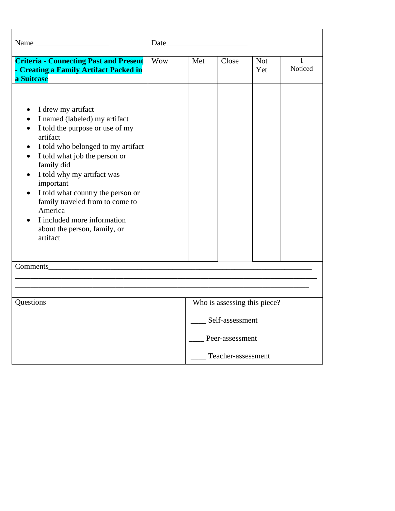| Name_                                                                                                                                                                                                                                                                                                                                                                                                                                                             | Date       |     |                                                 |                   |              |
|-------------------------------------------------------------------------------------------------------------------------------------------------------------------------------------------------------------------------------------------------------------------------------------------------------------------------------------------------------------------------------------------------------------------------------------------------------------------|------------|-----|-------------------------------------------------|-------------------|--------------|
| <b>Criteria - Connecting Past and Present</b><br>- Creating a Family Artifact Packed in<br>a Suitcase                                                                                                                                                                                                                                                                                                                                                             | <b>Wow</b> | Met | Close                                           | <b>Not</b><br>Yet | I<br>Noticed |
| I drew my artifact<br>I named (labeled) my artifact<br>I told the purpose or use of my<br>$\bullet$<br>artifact<br>I told who belonged to my artifact<br>$\bullet$<br>I told what job the person or<br>$\bullet$<br>family did<br>I told why my artifact was<br>$\bullet$<br>important<br>I told what country the person or<br>$\bullet$<br>family traveled from to come to<br>America<br>I included more information<br>about the person, family, or<br>artifact |            |     |                                                 |                   |              |
| Comments                                                                                                                                                                                                                                                                                                                                                                                                                                                          |            |     |                                                 |                   |              |
| Questions                                                                                                                                                                                                                                                                                                                                                                                                                                                         |            |     | Who is assessing this piece?<br>Self-assessment |                   |              |
|                                                                                                                                                                                                                                                                                                                                                                                                                                                                   |            |     | Peer-assessment<br>Teacher-assessment           |                   |              |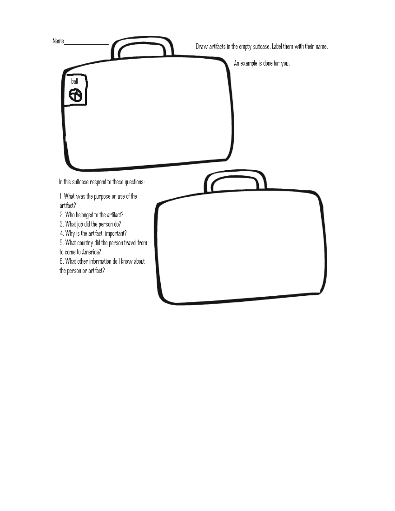| Name                                                                                                                                                                                                                                                                                                       | Draw artifacts in the empty suitcase. Label them with their name. |
|------------------------------------------------------------------------------------------------------------------------------------------------------------------------------------------------------------------------------------------------------------------------------------------------------------|-------------------------------------------------------------------|
|                                                                                                                                                                                                                                                                                                            | An example is done for you.                                       |
| ball                                                                                                                                                                                                                                                                                                       |                                                                   |
| In this suitcase respond to these questions:                                                                                                                                                                                                                                                               |                                                                   |
| 1. What was the purpose or use of the<br>artifact?<br>2. Who belonged to the artifact?<br>3. What job did the person do?<br>4. Why is the artifact important?<br>5. What country did the person travel from<br>to come to America?<br>6. What other information do I know about<br>the person or artifact? |                                                                   |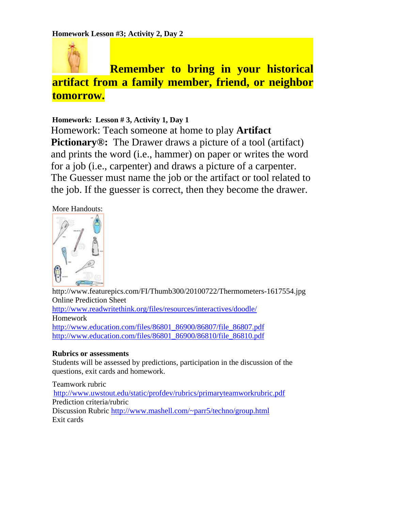

# **Remember to bring in your historical artifact from a family member, friend, or neighbor tomorrow.**

# **Homework: Lesson # 3, Activity 1, Day 1**

 Homework: Teach someone at home to play **Artifact Pictionary<sup>®</sup>:** The Drawer draws a picture of a tool (artifact) and prints the word (i.e., hammer) on paper or writes the word for a job (i.e., carpenter) and draws a picture of a carpenter. The Guesser must name the job or the artifact or tool related to the job. If the guesser is correct, then they become the drawer.

More Handouts:



http://www.featurepics.com/FI/Thumb300/20100722/Thermometers-1617554.jpg Online Prediction Sheet http://www.readwritethink.org/files/resources/interactives/doodle/ Homework http://www.education.com/files/86801\_86900/86807/file\_86807.pdf http://www.education.com/files/86801\_86900/86810/file\_86810.pdf

# **Rubrics or assessments**

Students will be assessed by predictions, participation in the discussion of the questions, exit cards and homework.

 Teamwork rubric http://www.uwstout.edu/static/profdev/rubrics/primaryteamworkrubric.pdf Prediction criteria/rubric Discussion Rubric http://www.mashell.com/~parr5/techno/group.html Exit cards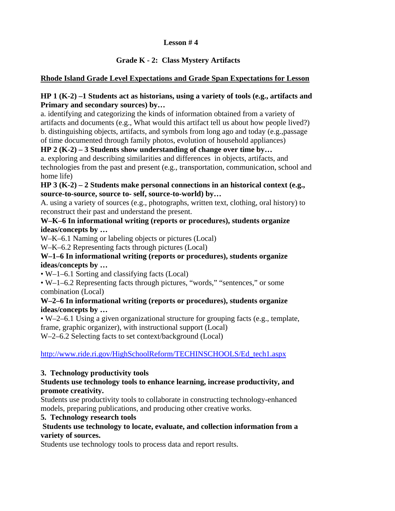# **Lesson # 4**

# **Grade K - 2: Class Mystery Artifacts**

# **Rhode Island Grade Level Expectations and Grade Span Expectations for Lesson**

### **HP 1 (K-2) –1 Students act as historians, using a variety of tools (e.g., artifacts and Primary and secondary sources) by…**

a. identifying and categorizing the kinds of information obtained from a variety of artifacts and documents (e.g., What would this artifact tell us about how people lived?) b. distinguishing objects, artifacts, and symbols from long ago and today (e.g.,passage of time documented through family photos, evolution of household appliances)

# **HP 2 (K-2) – 3 Students show understanding of change over time by…**

a. exploring and describing similarities and differences in objects, artifacts, and technologies from the past and present (e.g., transportation, communication, school and home life)

#### **HP 3 (K-2) – 2 Students make personal connections in an historical context (e.g., source-to-source, source to- self, source-to-world) by…**

A. using a variety of sources (e.g., photographs, written text, clothing, oral history) to reconstruct their past and understand the present.

#### **W–K–6 In informational writing (reports or procedures), students organize ideas/concepts by …**

W–K–6.1 Naming or labeling objects or pictures (Local)

W–K–6.2 Representing facts through pictures (Local)

# **W–1–6 In informational writing (reports or procedures), students organize ideas/concepts by …**

• W–1–6.1 Sorting and classifying facts (Local)

• W–1–6.2 Representing facts through pictures, "words," "sentences," or some combination (Local)

### **W–2–6 In informational writing (reports or procedures), students organize ideas/concepts by …**

• W–2–6.1 Using a given organizational structure for grouping facts (e.g., template, frame, graphic organizer), with instructional support (Local) W–2–6.2 Selecting facts to set context/background (Local)

# http://www.ride.ri.gov/HighSchoolReform/TECHINSCHOOLS/Ed\_tech1.aspx

# **3. Technology productivity tools**

### **Students use technology tools to enhance learning, increase productivity, and promote creativity.**

Students use productivity tools to collaborate in constructing technology-enhanced models, preparing publications, and producing other creative works.

### **5. Technology research tools**

### **Students use technology to locate, evaluate, and collection information from a variety of sources.**

Students use technology tools to process data and report results.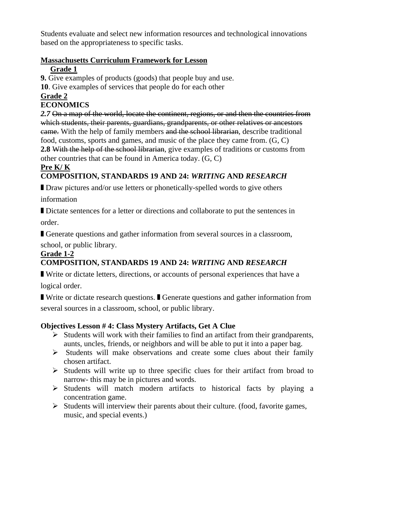Students evaluate and select new information resources and technological innovations based on the appropriateness to specific tasks.

# **Massachusetts Curriculum Framework for Lesson**

# **Grade 1**

**9.** Give examples of products (goods) that people buy and use.

**10**. Give examples of services that people do for each other

# **Grade 2**

# **ECONOMICS**

*2.7* On a map of the world, locate the continent, regions, or and then the countries from which students, their parents, guardians, grandparents, or other relatives or ancestors eame. With the help of family members and the school librarian, describe traditional food, customs, sports and games, and music of the place they came from. (G, C) **2.8 With the help of the school librarian, give examples of traditions or customs from** other countries that can be found in America today. (G, C)

# **Pre K/ K**

# **COMPOSITION, STANDARDS 19 AND 24:** *WRITING* **AND** *RESEARCH*

■ Draw pictures and/or use letters or phonetically-spelled words to give others

information

❚ Dictate sentences for a letter or directions and collaborate to put the sentences in order.

❚ Generate questions and gather information from several sources in a classroom,

school, or public library.

# **Grade 1-2**

# **COMPOSITION, STANDARDS 19 AND 24:** *WRITING* **AND** *RESEARCH*

❚ Write or dictate letters, directions, or accounts of personal experiences that have a

logical order.

■ Write or dictate research questions. ■ Generate questions and gather information from several sources in a classroom, school, or public library.

# **Objectives Lesson # 4: Class Mystery Artifacts, Get A Clue**

- $\triangleright$  Students will work with their families to find an artifact from their grandparents, aunts, uncles, friends, or neighbors and will be able to put it into a paper bag.
- $\triangleright$  Students will make observations and create some clues about their family chosen artifact.
- $\triangleright$  Students will write up to three specific clues for their artifact from broad to narrow- this may be in pictures and words.
- $\triangleright$  Students will match modern artifacts to historical facts by playing a concentration game.
- $\triangleright$  Students will interview their parents about their culture. (food, favorite games, music, and special events.)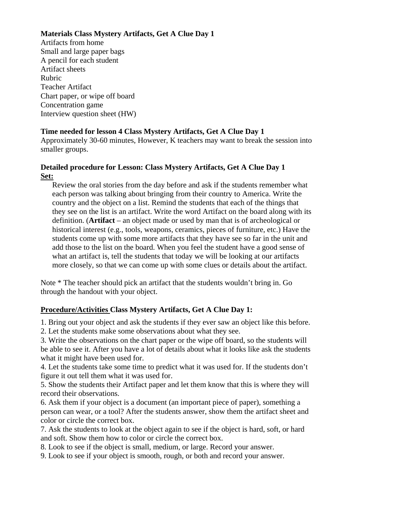**Materials Class Mystery Artifacts, Get A Clue Day 1**  Artifacts from home Small and large paper bags A pencil for each student Artifact sheets Rubric Teacher Artifact Chart paper, or wipe off board Concentration game Interview question sheet (HW)

### **Time needed for lesson 4 Class Mystery Artifacts, Get A Clue Day 1**

Approximately 30-60 minutes, However, K teachers may want to break the session into smaller groups.

#### **Detailed procedure for Lesson: Class Mystery Artifacts, Get A Clue Day 1 Set:**

Review the oral stories from the day before and ask if the students remember what each person was talking about bringing from their country to America. Write the country and the object on a list. Remind the students that each of the things that they see on the list is an artifact. Write the word Artifact on the board along with its definition. (**Artifact** – an object made or used by man that is of archeological or historical interest (e.g., tools, weapons, ceramics, pieces of furniture, etc.) Have the students come up with some more artifacts that they have see so far in the unit and add those to the list on the board. When you feel the student have a good sense of what an artifact is, tell the students that today we will be looking at our artifacts more closely, so that we can come up with some clues or details about the artifact.

Note \* The teacher should pick an artifact that the students wouldn't bring in. Go through the handout with your object.

### **Procedure/Activities Class Mystery Artifacts, Get A Clue Day 1:**

1. Bring out your object and ask the students if they ever saw an object like this before.

2. Let the students make some observations about what they see.

3. Write the observations on the chart paper or the wipe off board, so the students will be able to see it. After you have a lot of details about what it looks like ask the students what it might have been used for.

4. Let the students take some time to predict what it was used for. If the students don't figure it out tell them what it was used for.

5. Show the students their Artifact paper and let them know that this is where they will record their observations.

6. Ask them if your object is a document (an important piece of paper), something a person can wear, or a tool? After the students answer, show them the artifact sheet and color or circle the correct box.

7. Ask the students to look at the object again to see if the object is hard, soft, or hard and soft. Show them how to color or circle the correct box.

8. Look to see if the object is small, medium, or large. Record your answer.

9. Look to see if your object is smooth, rough, or both and record your answer.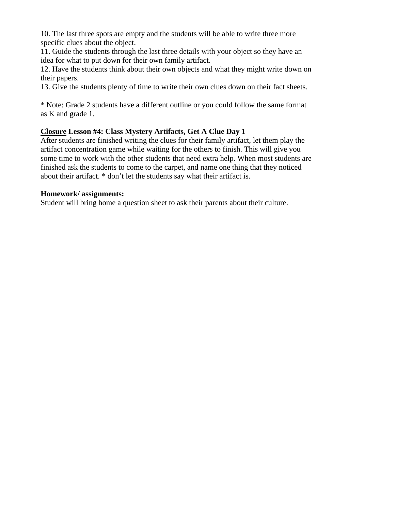10. The last three spots are empty and the students will be able to write three more specific clues about the object.

11. Guide the students through the last three details with your object so they have an idea for what to put down for their own family artifact.

12. Have the students think about their own objects and what they might write down on their papers.

13. Give the students plenty of time to write their own clues down on their fact sheets.

\* Note: Grade 2 students have a different outline or you could follow the same format as K and grade 1.

### **Closure Lesson #4: Class Mystery Artifacts, Get A Clue Day 1**

After students are finished writing the clues for their family artifact, let them play the artifact concentration game while waiting for the others to finish. This will give you some time to work with the other students that need extra help. When most students are finished ask the students to come to the carpet, and name one thing that they noticed about their artifact. \* don't let the students say what their artifact is.

#### **Homework/ assignments:**

Student will bring home a question sheet to ask their parents about their culture.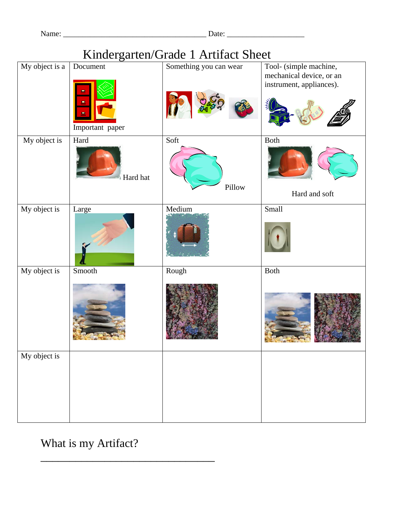| Name |  |
|------|--|
|      |  |

Name: \_\_\_\_\_\_\_\_\_\_\_\_\_\_\_\_\_\_\_\_\_\_\_\_\_\_\_\_\_\_\_\_\_\_\_\_\_ Date: \_\_\_\_\_\_\_\_\_\_\_\_\_\_\_\_\_\_\_\_

# Kindergarten/Grade 1 Artifact Sheet

| My object is a | Document<br>Important paper | Something you can wear | Tool- (simple machine,<br>mechanical device, or an<br>instrument, appliances). |
|----------------|-----------------------------|------------------------|--------------------------------------------------------------------------------|
| My object is   | Hard<br>Hard hat            | Soft<br>Pillow         | Both<br>Hard and soft                                                          |
| My object is   | Large                       | Medium                 | Small                                                                          |
| My object is   | Smooth                      | Rough                  | <b>Both</b>                                                                    |
| My object is   |                             |                        |                                                                                |

What is my Artifact?

\_\_\_\_\_\_\_\_\_\_\_\_\_\_\_\_\_\_\_\_\_\_\_\_\_\_\_\_\_\_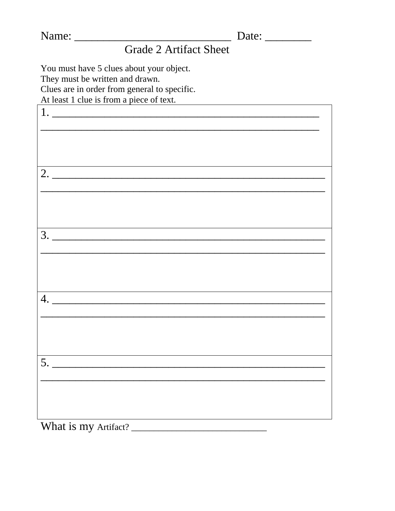Name:

Date:  $\_\_$ 

# Grade 2 Artifact Sheet

You must have 5 clues about your object.

They must be written and drawn.

Clues are in order from general to specific.

At least 1 clue is from a piece of text.

| 1. |  |  |
|----|--|--|
|    |  |  |
|    |  |  |
|    |  |  |
|    |  |  |
|    |  |  |
|    |  |  |
|    |  |  |
|    |  |  |
|    |  |  |
|    |  |  |
|    |  |  |
|    |  |  |
|    |  |  |
|    |  |  |
|    |  |  |
|    |  |  |
|    |  |  |
|    |  |  |
|    |  |  |
|    |  |  |
|    |  |  |
|    |  |  |
|    |  |  |
|    |  |  |
|    |  |  |
|    |  |  |

What is my Artifact?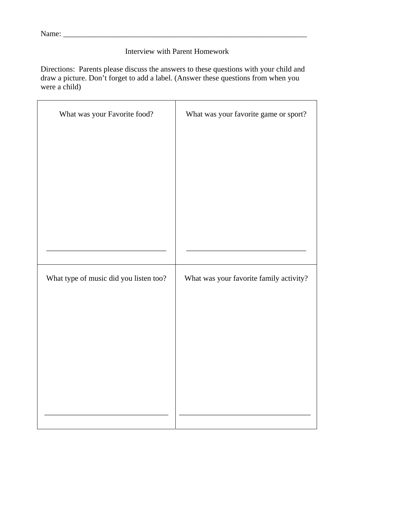# Interview with Parent Homework

Directions: Parents please discuss the answers to these questions with your child and draw a picture. Don't forget to add a label. (Answer these questions from when you were a child)

| What was your Favorite food?           | What was your favorite game or sport?   |
|----------------------------------------|-----------------------------------------|
|                                        |                                         |
|                                        |                                         |
|                                        |                                         |
|                                        |                                         |
|                                        |                                         |
|                                        |                                         |
| What type of music did you listen too? | What was your favorite family activity? |
|                                        |                                         |
|                                        |                                         |
|                                        |                                         |
|                                        |                                         |
|                                        |                                         |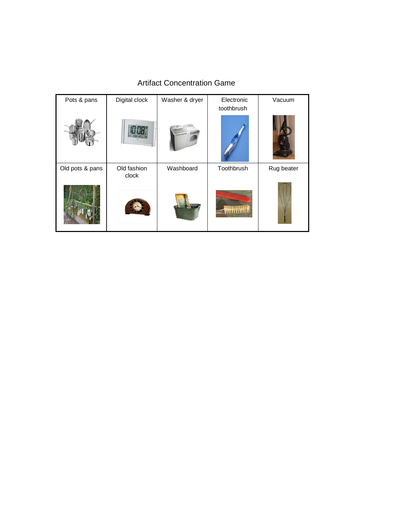| Pots & pans     | Digital clock        | Washer & dryer | Electronic<br>toothbrush | Vacuum     |
|-----------------|----------------------|----------------|--------------------------|------------|
|                 |                      |                |                          |            |
| Old pots & pans | Old fashion<br>clock | Washboard      | Toothbrush               | Rug beater |
|                 |                      |                |                          |            |

Artifact Concentration Game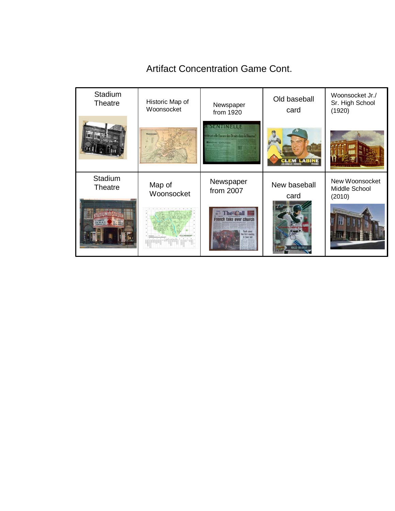| Stadium<br><b>Theatre</b> | Historic Map of<br>Woonsocket | Newspaper<br>from 1920                                                                            | Old baseball<br>card                   | Woonsocket Jr./<br>Sr. High School<br>(1920) |
|---------------------------|-------------------------------|---------------------------------------------------------------------------------------------------|----------------------------------------|----------------------------------------------|
|                           |                               | <b>SENTINELLE</b><br>rite a-t-elle Encore des Droits dans le Dincese?<br><b>Contine Carbitane</b> | <b>CLEM LAB</b><br>LOS ANGELES DODGERS |                                              |
| Stadium<br><b>Theatre</b> | Map of<br>Woonsocket          | Newspaper<br>from 2007                                                                            | New baseball<br>card                   | New Woonsocket<br>Middle School<br>(2010)    |
| <b>HTM HE</b>             |                               | a The Call<br>French take over church                                                             |                                        |                                              |

# Artifact Concentration Game Cont.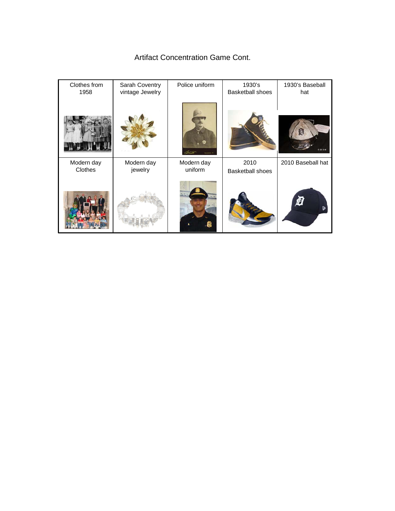Artifact Concentration Game Cont.

| Clothes from | Sarah Coventry  | Police uniform | 1930's                  | 1930's Baseball   |
|--------------|-----------------|----------------|-------------------------|-------------------|
| 1958         | vintage Jewelry |                | <b>Basketball shoes</b> | hat               |
|              |                 |                |                         | 07.28 12:40       |
| Modern day   | Modern day      | Modern day     | 2010                    | 2010 Baseball hat |
| Clothes      | jewelry         | uniform        | <b>Basketball shoes</b> |                   |
|              |                 |                |                         |                   |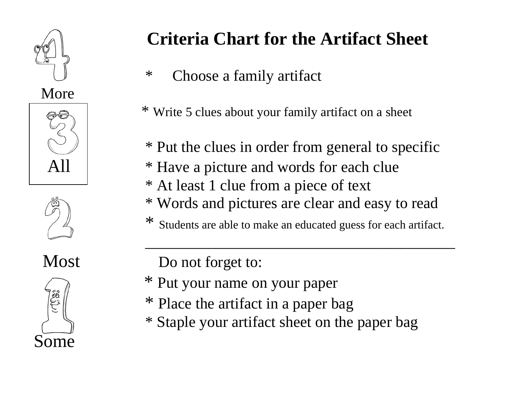







# **Criteria Chart for the Artifact Sheet**

- \* Choose a family artifact
- \* Write 5 clues about your family artifact on a sheet
- \* Put the clues in order from general to specific
- All  $\parallel$  \* Have a picture and words for each clue
	- \* At least 1 clue from a piece of text
	- \* Words and pictures are clear and easy to read
	- Students are able to make an educated guess for each artifact.

Most Do not forget to:

\* Put your name on your paper<br>\* Place the artifact in a paper b

 $\frac{1}{\sqrt{2}}$  ,  $\frac{1}{\sqrt{2}}$  ,  $\frac{1}{\sqrt{2}}$  ,  $\frac{1}{\sqrt{2}}$  ,  $\frac{1}{\sqrt{2}}$  ,  $\frac{1}{\sqrt{2}}$  ,  $\frac{1}{\sqrt{2}}$  ,  $\frac{1}{\sqrt{2}}$  ,  $\frac{1}{\sqrt{2}}$  ,  $\frac{1}{\sqrt{2}}$  ,  $\frac{1}{\sqrt{2}}$  ,  $\frac{1}{\sqrt{2}}$  ,  $\frac{1}{\sqrt{2}}$  ,  $\frac{1}{\sqrt{2}}$  ,  $\frac{1}{\sqrt{2}}$ 

- \* Place the artifact in a paper bag
- \* Staple your artifact sheet on the paper bag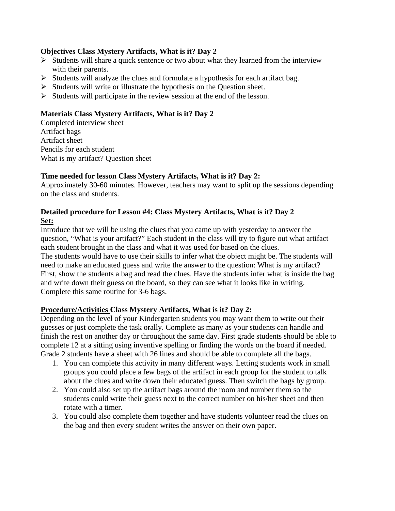#### **Objectives Class Mystery Artifacts, What is it? Day 2**

- $\triangleright$  Students will share a quick sentence or two about what they learned from the interview with their parents.
- $\triangleright$  Students will analyze the clues and formulate a hypothesis for each artifact bag.
- $\triangleright$  Students will write or illustrate the hypothesis on the Question sheet.
- $\triangleright$  Students will participate in the review session at the end of the lesson.

### **Materials Class Mystery Artifacts, What is it? Day 2**

Completed interview sheet Artifact bags Artifact sheet Pencils for each student What is my artifact? Question sheet

#### **Time needed for lesson Class Mystery Artifacts, What is it? Day 2:**

Approximately 30-60 minutes. However, teachers may want to split up the sessions depending on the class and students.

#### **Detailed procedure for Lesson #4: Class Mystery Artifacts, What is it? Day 2 Set:**

Introduce that we will be using the clues that you came up with yesterday to answer the question, "What is your artifact?" Each student in the class will try to figure out what artifact each student brought in the class and what it was used for based on the clues.

The students would have to use their skills to infer what the object might be. The students will need to make an educated guess and write the answer to the question: What is my artifact? First, show the students a bag and read the clues. Have the students infer what is inside the bag and write down their guess on the board, so they can see what it looks like in writing. Complete this same routine for 3-6 bags.

### **Procedure/Activities Class Mystery Artifacts, What is it? Day 2:**

Depending on the level of your Kindergarten students you may want them to write out their guesses or just complete the task orally. Complete as many as your students can handle and finish the rest on another day or throughout the same day. First grade students should be able to complete 12 at a sitting using inventive spelling or finding the words on the board if needed. Grade 2 students have a sheet with 26 lines and should be able to complete all the bags.

- 1. You can complete this activity in many different ways. Letting students work in small groups you could place a few bags of the artifact in each group for the student to talk about the clues and write down their educated guess. Then switch the bags by group.
- 2. You could also set up the artifact bags around the room and number them so the students could write their guess next to the correct number on his/her sheet and then rotate with a timer.
- 3. You could also complete them together and have students volunteer read the clues on the bag and then every student writes the answer on their own paper.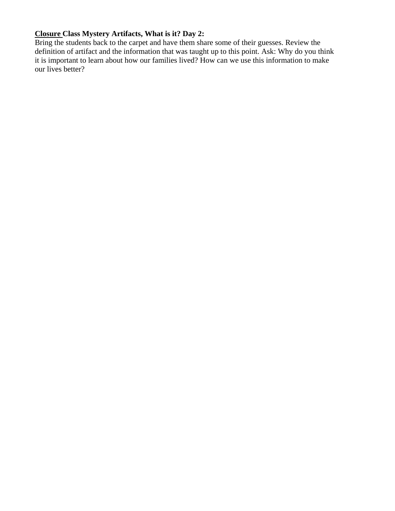# **Closure Class Mystery Artifacts, What is it? Day 2:**

Bring the students back to the carpet and have them share some of their guesses. Review the definition of artifact and the information that was taught up to this point. Ask: Why do you think it is important to learn about how our families lived? How can we use this information to make our lives better?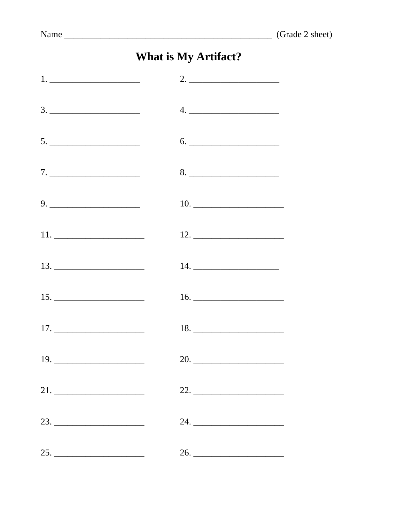# What is My Artifact?

| $\begin{array}{c}\n3.\n\end{array}$                                                                                               | $\begin{tabular}{c} 4. \end{tabular}$  |
|-----------------------------------------------------------------------------------------------------------------------------------|----------------------------------------|
| $5. \underline{\hspace{2.0cm}}$                                                                                                   | $\underbrace{6.$                       |
| 7.                                                                                                                                | $8. \underline{\hspace{2cm}}$          |
|                                                                                                                                   |                                        |
|                                                                                                                                   |                                        |
|                                                                                                                                   |                                        |
| $\begin{tabular}{ c c c } \hline 15. & \hspace{1.5cm} & \hspace{1.5cm} & \hspace{1.5cm} & \hspace{1.5cm} \\ \hline \end{tabular}$ | 16.                                    |
| $17. \underline{\hspace{2cm}}$                                                                                                    | $\begin{tabular}{c} 18. \end{tabular}$ |
|                                                                                                                                   |                                        |
|                                                                                                                                   |                                        |
|                                                                                                                                   | 24.                                    |
|                                                                                                                                   |                                        |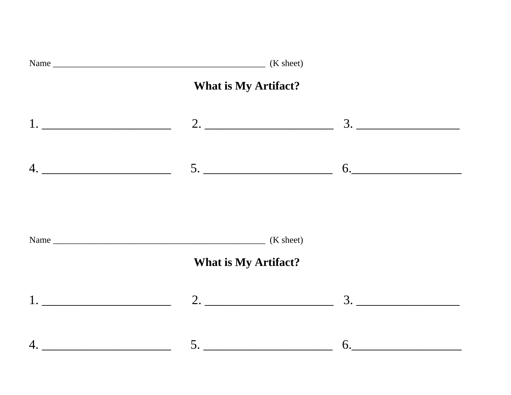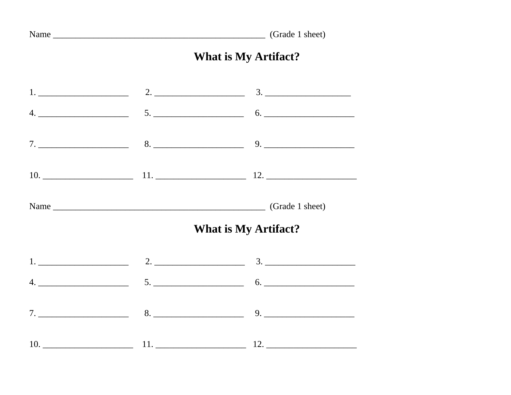# **What is My Artifact?**

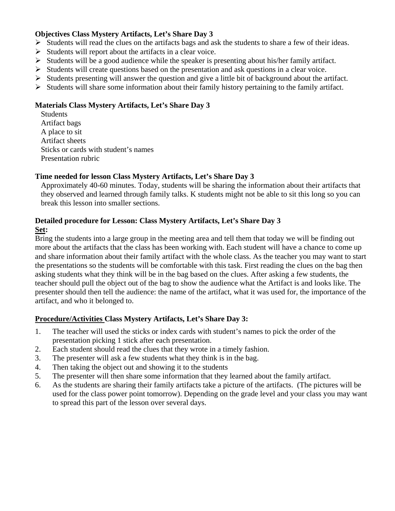# **Objectives Class Mystery Artifacts, Let's Share Day 3**

- $\triangleright$  Students will read the clues on the artifacts bags and ask the students to share a few of their ideas.
- $\triangleright$  Students will report about the artifacts in a clear voice.
- $\triangleright$  Students will be a good audience while the speaker is presenting about his/her family artifact.
- $\triangleright$  Students will create questions based on the presentation and ask questions in a clear voice.
- $\triangleright$  Students presenting will answer the question and give a little bit of background about the artifact.
- $\triangleright$  Students will share some information about their family history pertaining to the family artifact.

# **Materials Class Mystery Artifacts, Let's Share Day 3**

**Students** Artifact bags A place to sit Artifact sheets Sticks or cards with student's names Presentation rubric

# **Time needed for lesson Class Mystery Artifacts, Let's Share Day 3**

Approximately 40-60 minutes. Today, students will be sharing the information about their artifacts that they observed and learned through family talks. K students might not be able to sit this long so you can break this lesson into smaller sections.

#### **Detailed procedure for Lesson: Class Mystery Artifacts, Let's Share Day 3 Set:**

Bring the students into a large group in the meeting area and tell them that today we will be finding out more about the artifacts that the class has been working with. Each student will have a chance to come up and share information about their family artifact with the whole class. As the teacher you may want to start the presentations so the students will be comfortable with this task. First reading the clues on the bag then asking students what they think will be in the bag based on the clues. After asking a few students, the teacher should pull the object out of the bag to show the audience what the Artifact is and looks like. The presenter should then tell the audience: the name of the artifact, what it was used for, the importance of the artifact, and who it belonged to.

# **Procedure/Activities Class Mystery Artifacts, Let's Share Day 3:**

- 1. The teacher will used the sticks or index cards with student's names to pick the order of the presentation picking 1 stick after each presentation.
- 2. Each student should read the clues that they wrote in a timely fashion.
- 3. The presenter will ask a few students what they think is in the bag.
- 4. Then taking the object out and showing it to the students
- 5. The presenter will then share some information that they learned about the family artifact.
- 6. As the students are sharing their family artifacts take a picture of the artifacts. (The pictures will be used for the class power point tomorrow). Depending on the grade level and your class you may want to spread this part of the lesson over several days.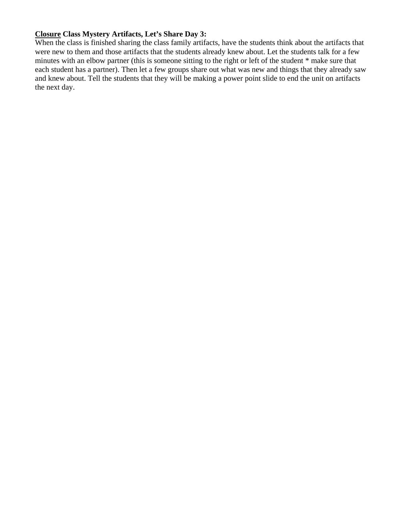# **Closure Class Mystery Artifacts, Let's Share Day 3:**

When the class is finished sharing the class family artifacts, have the students think about the artifacts that were new to them and those artifacts that the students already knew about. Let the students talk for a few minutes with an elbow partner (this is someone sitting to the right or left of the student \* make sure that each student has a partner). Then let a few groups share out what was new and things that they already saw and knew about. Tell the students that they will be making a power point slide to end the unit on artifacts the next day.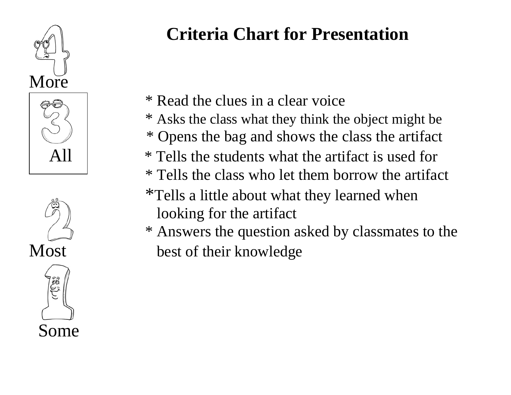



# **Criteria Chart for Presentation**

- \* Read the clues in a clear voice
- \* Asks the class what they think the object might be
- \* Opens the bag and shows the class the artifact
- All  $\parallel$  \* Tells the students what the artifact is used for
	- \* Tells the class who let them borrow the artifact
	- \*Tells a little about what they learned when looking for the artifact
- \* Answers the question asked by classmates to the Most best of their knowledge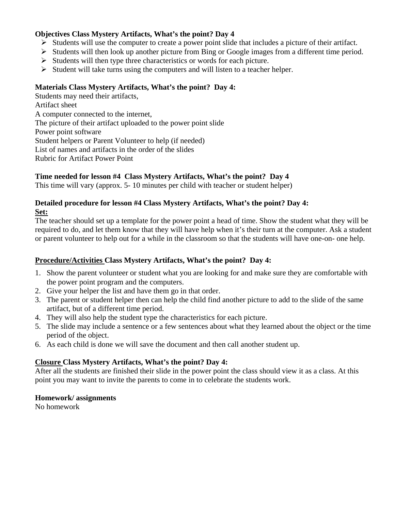# **Objectives Class Mystery Artifacts, What's the point? Day 4**

- $\triangleright$  Students will use the computer to create a power point slide that includes a picture of their artifact.
- $\triangleright$  Students will then look up another picture from Bing or Google images from a different time period.
- $\triangleright$  Students will then type three characteristics or words for each picture.
- $\triangleright$  Student will take turns using the computers and will listen to a teacher helper.

# **Materials Class Mystery Artifacts, What's the point? Day 4:**

Students may need their artifacts, Artifact sheet A computer connected to the internet, The picture of their artifact uploaded to the power point slide Power point software Student helpers or Parent Volunteer to help (if needed) List of names and artifacts in the order of the slides Rubric for Artifact Power Point

# **Time needed for lesson #4 Class Mystery Artifacts, What's the point? Day 4**

This time will vary (approx. 5- 10 minutes per child with teacher or student helper)

# **Detailed procedure for lesson #4 Class Mystery Artifacts, What's the point? Day 4: Set:**

The teacher should set up a template for the power point a head of time. Show the student what they will be required to do, and let them know that they will have help when it's their turn at the computer. Ask a student or parent volunteer to help out for a while in the classroom so that the students will have one-on- one help.

# **Procedure/Activities Class Mystery Artifacts, What's the point? Day 4:**

- 1. Show the parent volunteer or student what you are looking for and make sure they are comfortable with the power point program and the computers.
- 2. Give your helper the list and have them go in that order.
- 3. The parent or student helper then can help the child find another picture to add to the slide of the same artifact, but of a different time period.
- 4. They will also help the student type the characteristics for each picture.
- 5. The slide may include a sentence or a few sentences about what they learned about the object or the time period of the object.
- 6. As each child is done we will save the document and then call another student up.

# **Closure Class Mystery Artifacts, What's the point? Day 4:**

After all the students are finished their slide in the power point the class should view it as a class. At this point you may want to invite the parents to come in to celebrate the students work.

### **Homework/ assignments**

No homework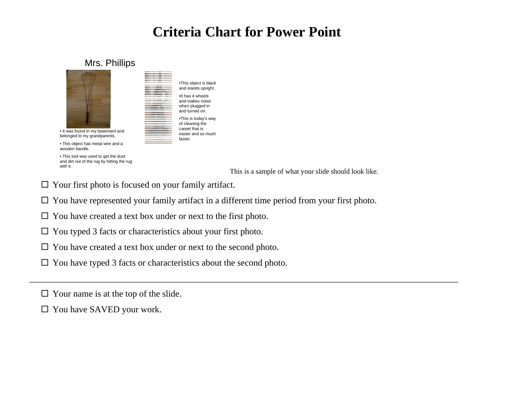# **Criteria Chart for Power Point**

\_\_\_\_\_\_\_\_\_\_\_\_\_\_\_\_\_\_\_\_\_\_\_\_\_\_\_\_\_\_\_\_\_\_\_\_\_\_\_\_\_\_\_\_\_\_\_\_\_\_\_\_\_\_\_\_\_\_\_\_\_\_\_\_\_\_\_\_\_\_\_\_\_\_\_\_\_\_\_\_\_\_\_\_\_\_\_\_\_\_\_\_\_\_\_

#### Mrs. Phillips • It was found in my basement and belonged to my grandparents. • This object has metal wire and a wooden handle.• This tool was used to get the dust and dirt out of the rug by hitting the rug with it. •This object is black and stands upright. •It has 4 wheels and makes noise when plugged in and turned on. •This is today's way of cleaning the carpet that is easier and so much faster.

This is a sample of what your slide should look like.

 $\Box$  Your first photo is focused on your family artifact.

- $\Box$  You have represented your family artifact in a different time period from your first photo.
- $\Box$  You have created a text box under or next to the first photo.
- $\Box$  You typed 3 facts or characteristics about your first photo.
- $\Box$  You have created a text box under or next to the second photo.
- $\Box$  You have typed 3 facts or characteristics about the second photo.
- $\Box$  Your name is at the top of the slide.
- □ You have SAVED your work.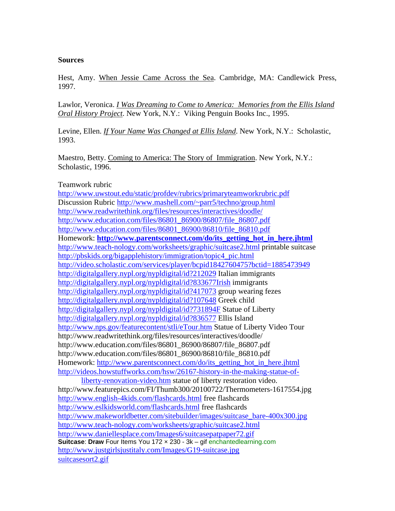#### **Sources**

Hest, Amy. When Jessie Came Across the Sea. Cambridge, MA: Candlewick Press, 1997.

Lawlor, Veronica. *I Was Dreaming to Come to America: Memories from the Ellis Island Oral History Project*. New York, N.Y.: Viking Penguin Books Inc., 1995.

Levine, Ellen. *If Your Name Was Changed at Ellis Island*. New York, N.Y.: Scholastic, 1993.

Maestro, Betty. Coming to America: The Story of Immigration. New York, N.Y.: Scholastic, 1996.

#### Teamwork rubric

http://www.uwstout.edu/static/profdev/rubrics/primaryteamworkrubric.pdf Discussion Rubric http://www.mashell.com/~parr5/techno/group.html http://www.readwritethink.org/files/resources/interactives/doodle/ http://www.education.com/files/86801\_86900/86807/file\_86807.pdf http://www.education.com/files/86801\_86900/86810/file\_86810.pdf Homework: **http://www.parentsconnect.com/do/its** getting hot in here.jhtml http://www.teach-nology.com/worksheets/graphic/suitcase2.html printable suitcase http://pbskids.org/bigapplehistory/immigration/topic4\_pic.html http://video.scholastic.com/services/player/bcpid1842760475?bctid=1885473949 http://digitalgallery.nypl.org/nypldigital/id?212029 Italian immigrants http://digitalgallery.nypl.org/nypldigital/id?833677Irish immigrants http://digitalgallery.nypl.org/nypldigital/id?417073 group wearing fezes http://digitalgallery.nypl.org/nypldigital/id?107648 Greek child http://digitalgallery.nypl.org/nypldigital/id?731894F Statue of Liberty http://digitalgallery.nypl.org/nypldigital/id?836577 Ellis Island http://www.nps.gov/featurecontent/stli/eTour.htm Statue of Liberty Video Tour http://www.readwritethink.org/files/resources/interactives/doodle/ http://www.education.com/files/86801\_86900/86807/file\_86807.pdf http://www.education.com/files/86801\_86900/86810/file\_86810.pdf Homework: http://www.parentsconnect.com/do/its\_getting\_hot\_in\_here.jhtml http://videos.howstuffworks.com/hsw/26167-history-in-the-making-statue-ofliberty-renovation-video.htm statue of liberty restoration video. http://www.featurepics.com/FI/Thumb300/20100722/Thermometers-1617554.jpg http://www.english-4kids.com/flashcards.html free flashcards http://www.eslkidsworld.com/flashcards.html free flashcards http://www.makeworldbetter.com/sitebuilder/images/suitcase\_bare-400x300.jpg http://www.teach-nology.com/worksheets/graphic/suitcase2.html http://www.daniellesplace.com/Images6/suitcasepatpaper72.gif **Suitcase**: **Draw** Four Items You 172 × 230 - 3k – gif enchantedlearning.com http://www.justgirlsjustitaly.com/Images/G19-suitcase.jpg suitcasesort2.gif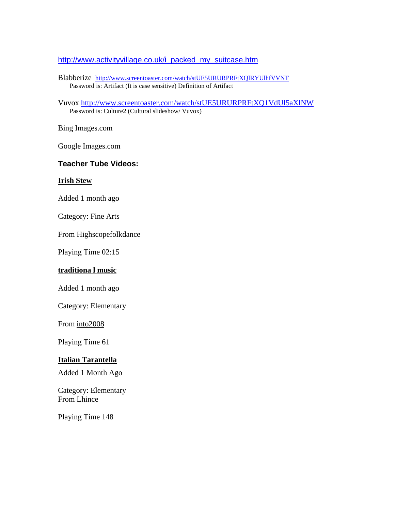#### http://www.activityvillage.co.uk/i\_packed\_my\_suitcase.htm

Blabberize http://www.screentoaster.com/watch/stUE5URURPRFtXQlRYUlhfVVNT Password is: Artifact (It is case sensitive) Definition of Artifact

Vuvox http://www.screentoaster.com/watch/stUE5URURPRFtXQ1VdUl5aXlNW Password is: Culture2 (Cultural slideshow/ Vuvox)

Bing Images.com

Google Images.com

#### **Teacher Tube Videos:**

#### **Irish Stew**

Added 1 month ago

Category: Fine Arts

From Highscopefolkdance

Playing Time 02:15

#### **traditiona l music**

Added 1 month ago

Category: Elementary

From into2008

Playing Time 61

#### **Italian Tarantella**

Added 1 Month Ago

Category: Elementary From Lhince

Playing Time 148